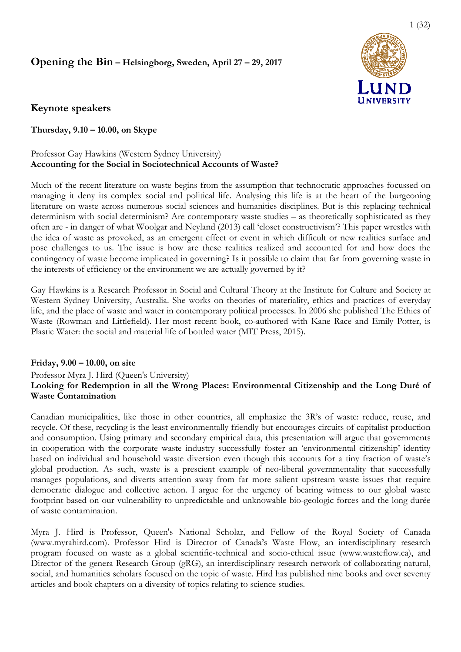# **Opening the Bin - Helsingborg, Sweden, April 27 - 29, 2017**



# **Keynote speakers**

**Thursday, 9.10 – 10.00, on Skype** 

## Professor Gay Hawkins (Western Sydney University) **Accounting for the Social in Sociotechnical Accounts of Waste?**

Much of the recent literature on waste begins from the assumption that technocratic approaches focussed on managing it deny its complex social and political life. Analysing this life is at the heart of the burgeoning literature on waste across numerous social sciences and humanities disciplines. But is this replacing technical determinism with social determinism? Are contemporary waste studies – as theoretically sophisticated as they often are - in danger of what Woolgar and Neyland (2013) call 'closet constructivism'? This paper wrestles with the idea of waste as provoked, as an emergent effect or event in which difficult or new realities surface and pose challenges to us. The issue is how are these realities realized and accounted for and how does the contingency of waste become implicated in governing? Is it possible to claim that far from governing waste in the interests of efficiency or the environment we are actually governed by it? contingency of waste become implicated in governing? Is it possible to claim that far from governing waste in<br>the interests of efficiency or the environment we are actually governed by it?<br>Gay Hawkins is a Research Profess ial sciences and humanities disciplines. But is this replacing technical<br>re contemporary waste studies – as theoretically sophisticated as they<br>d Neyland (2013) call 'closet constructivism'? This paper wrestles with<br>nergen

Western Sydney University, Australia. She works on theories of materiality, ethics and practices of everyday life, and the place of waste and water in contemporary political processes. In 2006 she published The Ethics of Waste (Rowman and Littlefield). Her most recent book, co-authored with Kane Race and Emily Potter, is Plastic Water: the social and material life of bottled water (MIT Press, 2015).

# **Friday, 9.00 – 10.00, on site**

# Professor Myra J. Hird (Queen's University) **Looking for Redemption in all the Wrong Places: Environmental Citizenship and the Long Duré of Waste Contamination**

Canadian municipalities, like those in other countries, all emphasize the 3R's of waste: reduce, reuse, and recycle. Of these, recycling is the least environmentally friendly but encourages circuits of capitalist production and consumption. Using primary and secondary empirical data, this presentation will argue that governments in cooperation with the corporate waste industry successfully foster an 'environmental citizenship' identity based on individual and household waste diversion even though this accounts for a tiny fraction of waste's global production. As such, waste is a prescient example of neo-liberal governmentality that succ manages populations, and diverts attention away from far more salient upstream waste issues that require democratic dialogue and collective action. I argue for the urgency of bearing witness to our global waste footprint based on our vulnerability to unpredictable and unknowable bio bio-geologic forces and the long durée of waste contamination. ling is the least environmentally friendly but encourages circuits of capitalist production<br>ag primary and secondary empirical data, this presentation will argue that governments<br>are corporate waste industry successfully f erning the Bin - Hestngburg, Sweden, April 27 - 29, 2017<br>
Worde speakers<br>
UNIVERSITY<br>
wrote speakers<br>
UNIVERSITY<br>
wrote speakers<br>
UNIVERSITY<br>
crosses (say the<br>wind Word on Skype Characteristics) of the set of the set of t o-authored with Kane Race and Emily Potter, is<br>IT Press, 2015).<br>
ironmental Citizenship and the Long Duré of<br>
emphasize the 3R's of waste: reduce, reuse, and<br>
dly but encourages circuits of capitalist production<br>
lata, thi

Myra J. Hird is Professor, Queen's National Scholar, and Fellow of the Royal Society of Canada (www.myrahird.com). Professor Hird is Director of Canada's Waste Flow, an interdisciplinary research footprint based on our vulnerability to unpredictable and unknowable bio-geologic forces and the long durée<br>of waste contamination.<br>Myra J. Hird is Professor, Queen's National Scholar, and Fellow of the Royal Society of Ca Director of the genera Research Group (gRG), an interdisciplinary research network of collaborating natural, social, and humanities scholars focused on the topic of waste. Hird has published nine books and over seventy articles and book chapters on a diversity of topics relating to science studies.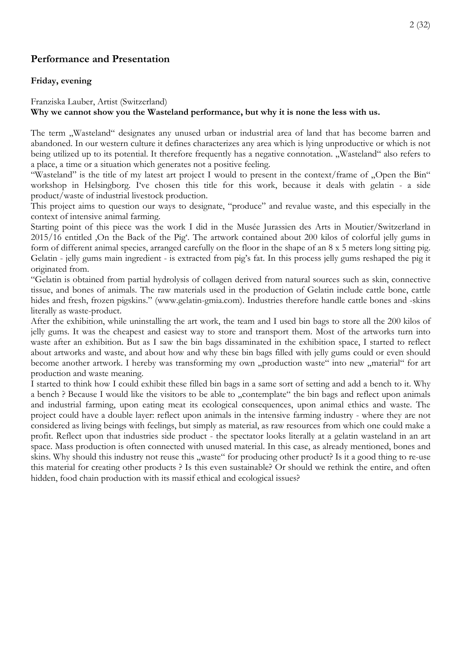# **Performance and Presentation**

## **Friday, evening**

## Franziska Lauber, Artist (Switzerland) **Why we cannot show you the Wasteland performance, but why it is none the less with us.**

The term "Wasteland" designates any unused urban or industrial area of land that has become barren and abandoned. In our western culture it defines characterizes any area which is lying unproductive or which is not being utilized up to its potential. It therefore frequently has a negative connotation. "Wasteland" also refers to a place, a time or a situation which generates not a positive feeling.

"Wasteland" is the title of my latest art project I would to present in the context/frame of "Open the Bin" workshop in Helsingborg. I've chosen this title for this work, because it deals with gelatin - a side product/waste of industrial livestock production.

This project aims to question our ways to designate, "produce" and revalue waste, and this especially in the context of intensive animal farming.

Starting point of this piece was the work I did in the Musée Jurassien des Arts in Moutier/Switzerland in 2015/16 entitled ,On the Back of the Pig'. The artwork contained about 200 kilos of colorful jelly gums in form of different animal species, arranged carefully on the floor in the shape of an 8 x 5 meters long sitting pig. Gelatin - jelly gums main ingredient - is extracted from pig's fat. In this process jelly gums reshaped the pig it originated from.

"Gelatin is obtained from partial hydrolysis of collagen derived from natural sources such as skin, connective tissue, and bones of animals. The raw materials used in the production of Gelatin include cattle bone, cattle hides and fresh, frozen pigskins." (www.gelatin-gmia.com). Industries therefore handle cattle bones and -skins literally as waste-product.

After the exhibition, while uninstalling the art work, the team and I used bin bags to store all the 200 kilos of jelly gums. It was the cheapest and easiest way to store and transport them. Most of the artworks turn into waste after an exhibition. But as I saw the bin bags dissaminated in the exhibition space, I started to reflect about artworks and waste, and about how and why these bin bags filled with jelly gums could or even should become another artwork. I hereby was transforming my own "production waste" into new "material" for art production and waste meaning.

I started to think how I could exhibit these filled bin bags in a same sort of setting and add a bench to it. Why a bench ? Because I would like the visitors to be able to "contemplate" the bin bags and reflect upon animals and industrial farming, upon eating meat its ecological consequences, upon animal ethics and waste. The project could have a double layer: reflect upon animals in the intensive farming industry - where they are not considered as living beings with feelings, but simply as material, as raw resources from which one could make a profit. Reflect upon that industries side product - the spectator looks literally at a gelatin wasteland in an art space. Mass production is often connected with unused material. In this case, as already mentioned, bones and skins. Why should this industry not reuse this "waste" for producing other product? Is it a good thing to re-use this material for creating other products ? Is this even sustainable? Or should we rethink the entire, and often hidden, food chain production with its massif ethical and ecological issues?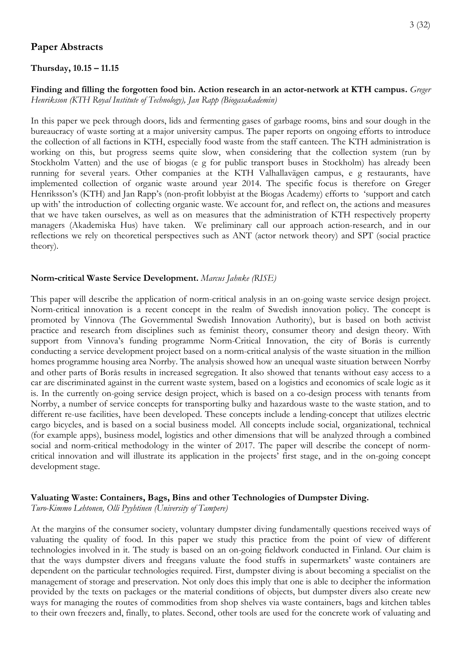# **Paper Abstracts**

#### **Thursday, 10.15 – 11.15**

## **Finding and filling the forgotten food bin. Action research in an actor-network at KTH campus.** *Greger Henriksson (KTH Royal Institute of Technology), Jan Rapp (Biogasakademin)*

In this paper we peek through doors, lids and fermenting gases of garbage rooms, bins and sour dough in the bureaucracy of waste sorting at a major university campus. The paper reports on ongoing efforts to introduce the collection of all factions in KTH, especially food waste from the staff canteen. The KTH administration is working on this, but progress seems quite slow, when considering that the collection system (run by Stockholm Vatten) and the use of biogas (e g for public transport buses in Stockholm) has already been running for several years. Other companies at the KTH Valhallavägen campus, e g restaurants, have implemented collection of organic waste around year 2014. The specific focus is therefore on Greger Henriksson's (KTH) and Jan Rapp's (non-profit lobbyist at the Biogas Academy) efforts to 'support and catch up with' the introduction of collecting organic waste. We account for, and reflect on, the actions and measures that we have taken ourselves, as well as on measures that the administration of KTH respectively property managers (Akademiska Hus) have taken. We preliminary call our approach action-research, and in our reflections we rely on theoretical perspectives such as ANT (actor network theory) and SPT (social practice theory).

## **Norm‐critical Waste Service Development.** *Marcus Jahnke (RISE)*

This paper will describe the application of norm-critical analysis in an on-going waste service design project. Norm-critical innovation is a recent concept in the realm of Swedish innovation policy. The concept is promoted by Vinnova (The Governmental Swedish Innovation Authority), but is based on both activist practice and research from disciplines such as feminist theory, consumer theory and design theory. With support from Vinnova's funding programme Norm-Critical Innovation, the city of Borås is currently conducting a service development project based on a norm-critical analysis of the waste situation in the million homes programme housing area Norrby. The analysis showed how an unequal waste situation between Norrby and other parts of Borås results in increased segregation. It also showed that tenants without easy access to a car are discriminated against in the current waste system, based on a logistics and economics of scale logic as it is. In the currently on-going service design project, which is based on a co-design process with tenants from Norrby, a number of service concepts for transporting bulky and hazardous waste to the waste station, and to different re-use facilities, have been developed. These concepts include a lending-concept that utilizes electric cargo bicycles, and is based on a social business model. All concepts include social, organizational, technical (for example apps), business model, logistics and other dimensions that will be analyzed through a combined social and norm-critical methodology in the winter of 2017. The paper will describe the concept of normcritical innovation and will illustrate its application in the projects' first stage, and in the on-going concept development stage.

# **Valuating Waste: Containers, Bags, Bins and other Technologies of Dumpster Diving.**

*Turo-Kimmo Lehtonen, Olli Pyyhtinen (University of Tampere)* 

At the margins of the consumer society, voluntary dumpster diving fundamentally questions received ways of valuating the quality of food. In this paper we study this practice from the point of view of different technologies involved in it. The study is based on an on-going fieldwork conducted in Finland. Our claim is that the ways dumpster divers and freegans valuate the food stuffs in supermarkets' waste containers are dependent on the particular technologies required. First, dumpster diving is about becoming a specialist on the management of storage and preservation. Not only does this imply that one is able to decipher the information provided by the texts on packages or the material conditions of objects, but dumpster divers also create new ways for managing the routes of commodities from shop shelves via waste containers, bags and kitchen tables to their own freezers and, finally, to plates. Second, other tools are used for the concrete work of valuating and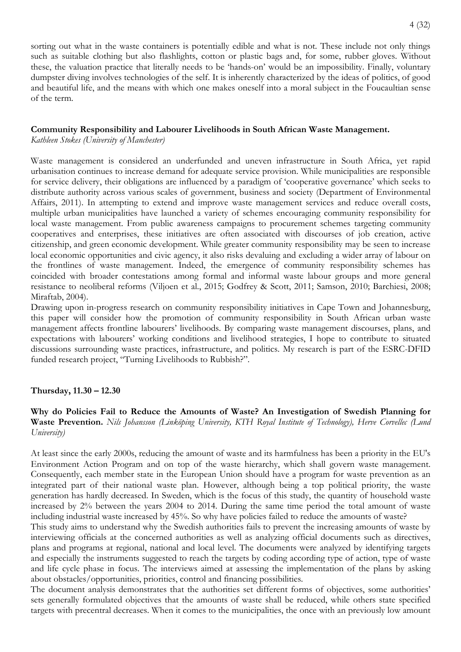sorting out what in the waste containers is potentially edible and what is not. These include not only things such as suitable clothing but also flashlights, cotton or plastic bags and, for some, rubber gloves. Without these, the valuation practice that literally needs to be 'hands-on' would be an impossibility. Finally, voluntary dumpster diving involves technologies of the self. It is inherently characterized by the ideas of politics, of good and beautiful life, and the means with which one makes oneself into a moral subject in the Foucaultian sense of the term.

## **Community Responsibility and Labourer Livelihoods in South African Waste Management.**

*Kathleen Stokes (University of Manchester)* 

Waste management is considered an underfunded and uneven infrastructure in South Africa, yet rapid urbanisation continues to increase demand for adequate service provision. While municipalities are responsible for service delivery, their obligations are influenced by a paradigm of 'cooperative governance' which seeks to distribute authority across various scales of government, business and society (Department of Environmental Affairs, 2011). In attempting to extend and improve waste management services and reduce overall costs, multiple urban municipalities have launched a variety of schemes encouraging community responsibility for local waste management. From public awareness campaigns to procurement schemes targeting community cooperatives and enterprises, these initiatives are often associated with discourses of job creation, active citizenship, and green economic development. While greater community responsibility may be seen to increase local economic opportunities and civic agency, it also risks devaluing and excluding a wider array of labour on the frontlines of waste management. Indeed, the emergence of community responsibility schemes has coincided with broader contestations among formal and informal waste labour groups and more general resistance to neoliberal reforms (Viljoen et al., 2015; Godfrey & Scott, 2011; Samson, 2010; Barchiesi, 2008; Miraftab, 2004).

Drawing upon in-progress research on community responsibility initiatives in Cape Town and Johannesburg, this paper will consider how the promotion of community responsibility in South African urban waste management affects frontline labourers' livelihoods. By comparing waste management discourses, plans, and expectations with labourers' working conditions and livelihood strategies, I hope to contribute to situated discussions surrounding waste practices, infrastructure, and politics. My research is part of the ESRC-DFID funded research project, "Turning Livelihoods to Rubbish?".

## **Thursday, 11.30 – 12.30**

**Why do Policies Fail to Reduce the Amounts of Waste? An Investigation of Swedish Planning for Waste Prevention.** *Nils Johansson (Linköping University, KTH Royal Institute of Technology), Herve Corvellec (Lund University)* 

At least since the early 2000s, reducing the amount of waste and its harmfulness has been a priority in the EU's Environment Action Program and on top of the waste hierarchy, which shall govern waste management. Consequently, each member state in the European Union should have a program for waste prevention as an integrated part of their national waste plan. However, although being a top political priority, the waste generation has hardly decreased. In Sweden, which is the focus of this study, the quantity of household waste increased by 2% between the years 2004 to 2014. During the same time period the total amount of waste including industrial waste increased by 45%. So why have policies failed to reduce the amounts of waste?

This study aims to understand why the Swedish authorities fails to prevent the increasing amounts of waste by interviewing officials at the concerned authorities as well as analyzing official documents such as directives, plans and programs at regional, national and local level. The documents were analyzed by identifying targets and especially the instruments suggested to reach the targets by coding according type of action, type of waste and life cycle phase in focus. The interviews aimed at assessing the implementation of the plans by asking about obstacles/opportunities, priorities, control and financing possibilities.

The document analysis demonstrates that the authorities set different forms of objectives, some authorities' sets generally formulated objectives that the amounts of waste shall be reduced, while others state specified targets with precentral decreases. When it comes to the municipalities, the once with an previously low amount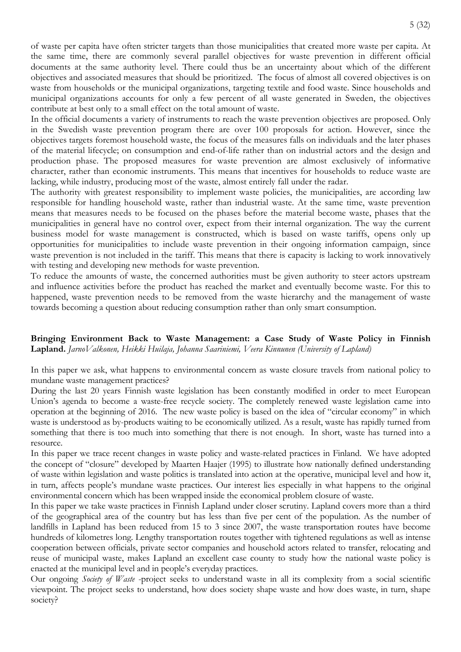of waste per capita have often stricter targets than those municipalities that created more waste per capita. At the same time, there are commonly several parallel objectives for waste prevention in different official documents at the same authority level. There could thus be an uncertainty about which of the different objectives and associated measures that should be prioritized. The focus of almost all covered objectives is on waste from households or the municipal organizations, targeting textile and food waste. Since households and municipal organizations accounts for only a few percent of all waste generated in Sweden, the objectives contribute at best only to a small effect on the total amount of waste.

In the official documents a variety of instruments to reach the waste prevention objectives are proposed. Only in the Swedish waste prevention program there are over 100 proposals for action. However, since the objectives targets foremost household waste, the focus of the measures falls on individuals and the later phases of the material lifecycle; on consumption and end-of-life rather than on industrial actors and the design and production phase. The proposed measures for waste prevention are almost exclusively of informative character, rather than economic instruments. This means that incentives for households to reduce waste are lacking, while industry, producing most of the waste, almost entirely fall under the radar.

The authority with greatest responsibility to implement waste policies, the municipalities, are according law responsible for handling household waste, rather than industrial waste. At the same time, waste prevention means that measures needs to be focused on the phases before the material become waste, phases that the municipalities in general have no control over, expect from their internal organization. The way the current business model for waste management is constructed, which is based on waste tariffs, opens only up opportunities for municipalities to include waste prevention in their ongoing information campaign, since waste prevention is not included in the tariff. This means that there is capacity is lacking to work innovatively with testing and developing new methods for waste prevention.

To reduce the amounts of waste, the concerned authorities must be given authority to steer actors upstream and influence activities before the product has reached the market and eventually become waste. For this to happened, waste prevention needs to be removed from the waste hierarchy and the management of waste towards becoming a question about reducing consumption rather than only smart consumption.

**Bringing Environment Back to Waste Management: a Case Study of Waste Policy in Finnish Lapland.** *JarnoValkonen, Heikki Huilaja, Johanna Saariniemi, Veera Kinnunen (University of Lapland)*

In this paper we ask, what happens to environmental concern as waste closure travels from national policy to mundane waste management practices?

During the last 20 years Finnish waste legislation has been constantly modified in order to meet European Union's agenda to become a waste-free recycle society. The completely renewed waste legislation came into operation at the beginning of 2016. The new waste policy is based on the idea of "circular economy" in which waste is understood as by-products waiting to be economically utilized. As a result, waste has rapidly turned from something that there is too much into something that there is not enough. In short, waste has turned into a resource.

In this paper we trace recent changes in waste policy and waste-related practices in Finland. We have adopted the concept of "closure" developed by Maarten Haajer (1995) to illustrate how nationally defined understanding of waste within legislation and waste politics is translated into action at the operative, municipal level and how it, in turn, affects people's mundane waste practices. Our interest lies especially in what happens to the original environmental concern which has been wrapped inside the economical problem closure of waste.

In this paper we take waste practices in Finnish Lapland under closer scrutiny. Lapland covers more than a third of the geographical area of the country but has less than five per cent of the population. As the number of landfills in Lapland has been reduced from 15 to 3 since 2007, the waste transportation routes have become hundreds of kilometres long. Lengthy transportation routes together with tightened regulations as well as intense cooperation between officials, private sector companies and household actors related to transfer, relocating and reuse of municipal waste, makes Lapland an excellent case county to study how the national waste policy is enacted at the municipal level and in people's everyday practices.

Our ongoing *Society of Waste* -project seeks to understand waste in all its complexity from a social scientific viewpoint. The project seeks to understand, how does society shape waste and how does waste, in turn, shape society?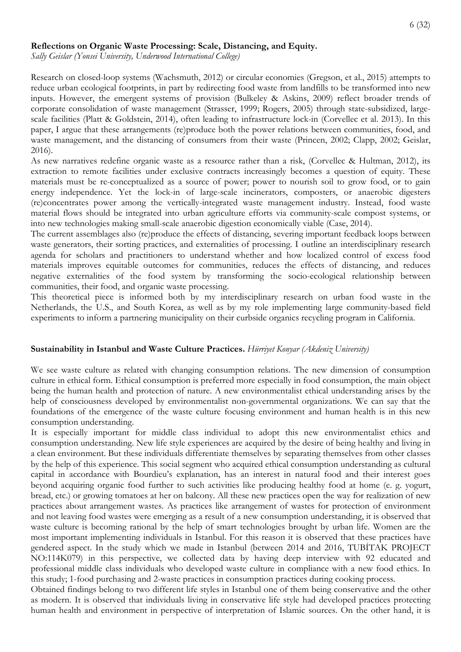#### **Reflections on Organic Waste Processing: Scale, Distancing, and Equity.**

*Sally Geislar (Yonsei University, Underwood International College)*

Research on closed-loop systems (Wachsmuth, 2012) or circular economies (Gregson, et al., 2015) attempts to reduce urban ecological footprints, in part by redirecting food waste from landfills to be transformed into new inputs. However, the emergent systems of provision (Bulkeley & Askins, 2009) reflect broader trends of corporate consolidation of waste management (Strasser, 1999; Rogers, 2005) through state-subsidized, largescale facilities (Platt & Goldstein, 2014), often leading to infrastructure lock-in (Corvellec et al. 2013). In this paper, I argue that these arrangements (re)produce both the power relations between communities, food, and waste management, and the distancing of consumers from their waste (Princen, 2002; Clapp, 2002; Geislar, 2016).

As new narratives redefine organic waste as a resource rather than a risk, (Corvellec & Hultman, 2012), its extraction to remote facilities under exclusive contracts increasingly becomes a question of equity. These materials must be re-conceptualized as a source of power; power to nourish soil to grow food, or to gain energy independence. Yet the lock-in of large-scale incinerators, composters, or anaerobic digesters (re)concentrates power among the vertically-integrated waste management industry. Instead, food waste material flows should be integrated into urban agriculture efforts via community-scale compost systems, or into new technologies making small-scale anaerobic digestion economically viable (Case, 2014).

The current assemblages also (re)produce the effects of distancing, severing important feedback loops between waste generators, their sorting practices, and externalities of processing. I outline an interdisciplinary research agenda for scholars and practitioners to understand whether and how localized control of excess food materials improves equitable outcomes for communities, reduces the effects of distancing, and reduces negative externalities of the food system by transforming the socio-ecological relationship between communities, their food, and organic waste processing.

This theoretical piece is informed both by my interdisciplinary research on urban food waste in the Netherlands, the U.S., and South Korea, as well as by my role implementing large community-based field experiments to inform a partnering municipality on their curbside organics recycling program in California.

#### **Sustainability in Istanbul and Waste Culture Practices.** *Hürriyet Konyar (Akdeniz University)*

We see waste culture as related with changing consumption relations. The new dimension of consumption culture in ethical form. Ethical consumption is preferred more especially in food consumption, the main object being the human health and protection of nature. A new environmentalist ethical understanding arises by the help of consciousness developed by environmentalist non-governmental organizations. We can say that the foundations of the emergence of the waste culture focusing environment and human health is in this new consumption understanding.

It is especially important for middle class individual to adopt this new environmentalist ethics and consumption understanding. New life style experiences are acquired by the desire of being healthy and living in a clean environment. But these individuals differentiate themselves by separating themselves from other classes by the help of this experience. This social segment who acquired ethical consumption understanding as cultural capital in accordance with Bourdieu's explanation, has an interest in natural food and their interest goes beyond acquiring organic food further to such activities like producing healthy food at home (e. g. yogurt, bread, etc.) or growing tomatoes at her on balcony. All these new practices open the way for realization of new practices about arrangement wastes. As practices like arrangement of wastes for protection of environment and not leaving food wastes were emerging as a result of a new consumption understanding, it is observed that waste culture is becoming rational by the help of smart technologies brought by urban life. Women are the most important implementing individuals in Istanbul. For this reason it is observed that these practices have gendered aspect. In the study which we made in Istanbul (between 2014 and 2016, TUBİTAK PROJECT NO:114K079) in this perspective, we collected data by having deep interview with 92 educated and professional middle class individuals who developed waste culture in compliance with a new food ethics. In this study; 1-food purchasing and 2-waste practices in consumption practices during cooking process.

Obtained findings belong to two different life styles in Istanbul one of them being conservative and the other as modern. It is observed that individuals living in conservative life style had developed practices protecting human health and environment in perspective of interpretation of Islamic sources. On the other hand, it is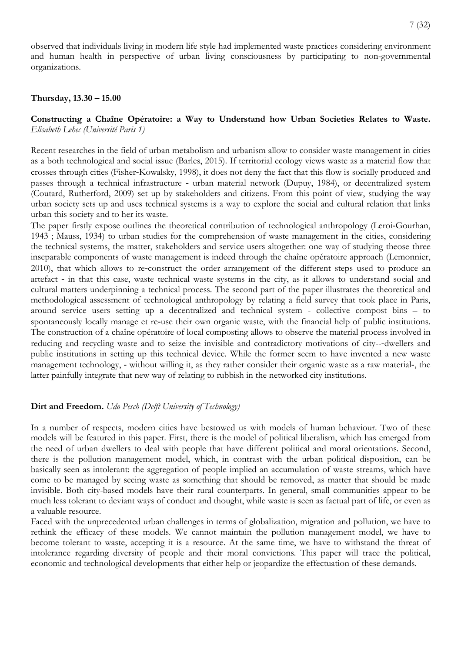observed that individuals living in modern life style had implemented waste practices considering environment and human health in perspective of urban living consciousness by participating to non-governmental organizations.

#### **Thursday, 13.30 – 15.00**

## **Constructing a Chaîne Opératoire: a Way to Understand how Urban Societies Relates to Waste.**  *Elisabeth Lehec (Université Paris 1)*

Recent researches in the field of urban metabolism and urbanism allow to consider waste management in cities as a both technological and social issue (Barles, 2015). If territorial ecology views waste as a material flow that crosses through cities (Fisher‐Kowalsky, 1998), it does not deny the fact that this flow is socially produced and passes through a technical infrastructure ‐ urban material network (Dupuy, 1984), or decentralized system (Coutard, Rutherford, 2009) set up by stakeholders and citizens. From this point of view, studying the way urban society sets up and uses technical systems is a way to explore the social and cultural relation that links urban this society and to her its waste.

The paper firstly expose outlines the theoretical contribution of technological anthropology (Leroi‐Gourhan, 1943 ; Mauss, 1934) to urban studies for the comprehension of waste management in the cities, considering the technical systems, the matter, stakeholders and service users altogether: one way of studying theose three inseparable components of waste management is indeed through the chaîne opératoire approach (Lemonnier, 2010), that which allows to re-construct the order arrangement of the different steps used to produce an artefact ‐ in that this case, waste technical waste systems in the city, as it allows to understand social and cultural matters underpinning a technical process. The second part of the paper illustrates the theoretical and methodological assessment of technological anthropology by relating a field survey that took place in Paris, around service users setting up a decentralized and technical system - collective compost bins – to spontaneously locally manage et re-use their own organic waste, with the financial help of public institutions. The construction of a chaîne opératoire of local composting allows to observe the material process involved in reducing and recycling waste and to seize the invisible and contradictory motivations of city-‐dwellers and public institutions in setting up this technical device. While the former seem to have invented a new waste management technology, - without willing it, as they rather consider their organic waste as a raw material-, the latter painfully integrate that new way of relating to rubbish in the networked city institutions.

#### **Dirt and Freedom.** *Udo Pesch (Delft University of Technology)*

In a number of respects, modern cities have bestowed us with models of human behaviour. Two of these models will be featured in this paper. First, there is the model of political liberalism, which has emerged from the need of urban dwellers to deal with people that have different political and moral orientations. Second, there is the pollution management model, which, in contrast with the urban political disposition, can be basically seen as intolerant: the aggregation of people implied an accumulation of waste streams, which have come to be managed by seeing waste as something that should be removed, as matter that should be made invisible. Both city-based models have their rural counterparts. In general, small communities appear to be much less tolerant to deviant ways of conduct and thought, while waste is seen as factual part of life, or even as a valuable resource.

Faced with the unprecedented urban challenges in terms of globalization, migration and pollution, we have to rethink the efficacy of these models. We cannot maintain the pollution management model, we have to become tolerant to waste, accepting it is a resource. At the same time, we have to withstand the threat of intolerance regarding diversity of people and their moral convictions. This paper will trace the political, economic and technological developments that either help or jeopardize the effectuation of these demands.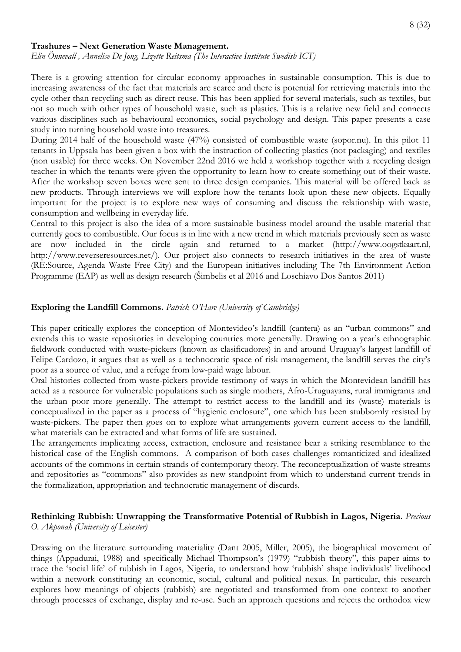#### **Trashures – Next Generation Waste Management.**

*Elin Önnevall , Annelise De Jong, Lizette Reitsma (The Interactive Institute Swedish ICT)* 

There is a growing attention for circular economy approaches in sustainable consumption. This is due to increasing awareness of the fact that materials are scarce and there is potential for retrieving materials into the cycle other than recycling such as direct reuse. This has been applied for several materials, such as textiles, but not so much with other types of household waste, such as plastics. This is a relative new field and connects various disciplines such as behavioural economics, social psychology and design. This paper presents a case study into turning household waste into treasures.

During 2014 half of the household waste (47%) consisted of combustible waste (sopor.nu). In this pilot 11 tenants in Uppsala has been given a box with the instruction of collecting plastics (not packaging) and textiles (non usable) for three weeks. On November 22nd 2016 we held a workshop together with a recycling design teacher in which the tenants were given the opportunity to learn how to create something out of their waste. After the workshop seven boxes were sent to three design companies. This material will be offered back as new products. Through interviews we will explore how the tenants look upon these new objects. Equally important for the project is to explore new ways of consuming and discuss the relationship with waste, consumption and wellbeing in everyday life.

Central to this project is also the idea of a more sustainable business model around the usable material that currently goes to combustible. Our focus is in line with a new trend in which materials previously seen as waste are now included in the circle again and returned to a market (http://www.oogstkaart.nl, http://www.reverseresources.net/). Our project also connects to research initiatives in the area of waste (RE:Source, Agenda Waste Free City) and the European initiatives including The 7th Environment Action Programme (EAP) as well as design research (Šimbelis et al 2016 and Loschiavo Dos Santos 2011)

#### **Exploring the Landfill Commons.** *Patrick O'Hare (University of Cambridge)*

This paper critically explores the conception of Montevideo's landfill (cantera) as an "urban commons" and extends this to waste repositories in developing countries more generally. Drawing on a year's ethnographic fieldwork conducted with waste-pickers (known as clasificadores) in and around Uruguay's largest landfill of Felipe Cardozo, it argues that as well as a technocratic space of risk management, the landfill serves the city's poor as a source of value, and a refuge from low-paid wage labour.

Oral histories collected from waste-pickers provide testimony of ways in which the Montevidean landfill has acted as a resource for vulnerable populations such as single mothers, Afro-Uruguayans, rural immigrants and the urban poor more generally. The attempt to restrict access to the landfill and its (waste) materials is conceptualized in the paper as a process of "hygienic enclosure", one which has been stubbornly resisted by waste-pickers. The paper then goes on to explore what arrangements govern current access to the landfill, what materials can be extracted and what forms of life are sustained.

The arrangements implicating access, extraction, enclosure and resistance bear a striking resemblance to the historical case of the English commons. A comparison of both cases challenges romanticized and idealized accounts of the commons in certain strands of contemporary theory. The reconceptualization of waste streams and repositories as "commons" also provides as new standpoint from which to understand current trends in the formalization, appropriation and technocratic management of discards.

#### **Rethinking Rubbish: Unwrapping the Transformative Potential of Rubbish in Lagos, Nigeria.** *Precious O. Akponah (University of Leicester)*

Drawing on the literature surrounding materiality (Dant 2005, Miller, 2005), the biographical movement of things (Appadurai, 1988) and specifically Michael Thompson's (1979) "rubbish theory", this paper aims to trace the 'social life' of rubbish in Lagos, Nigeria, to understand how 'rubbish' shape individuals' livelihood within a network constituting an economic, social, cultural and political nexus. In particular, this research explores how meanings of objects (rubbish) are negotiated and transformed from one context to another through processes of exchange, display and re-use. Such an approach questions and rejects the orthodox view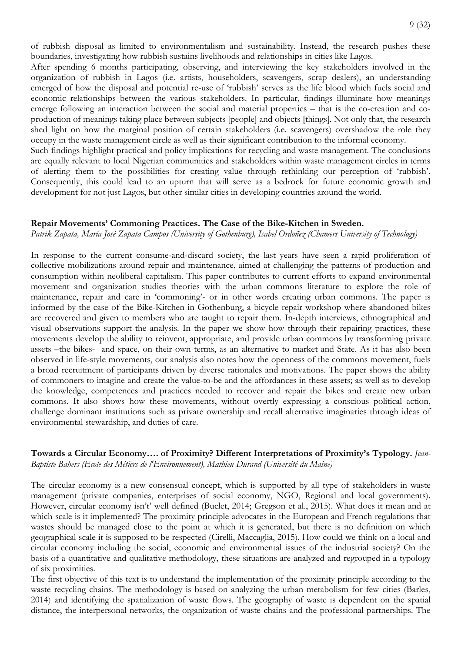of rubbish disposal as limited to environmentalism and sustainability. Instead, the research pushes these boundaries, investigating how rubbish sustains livelihoods and relationships in cities like Lagos.

After spending 6 months participating, observing, and interviewing the key stakeholders involved in the organization of rubbish in Lagos (i.e. artists, householders, scavengers, scrap dealers), an understanding emerged of how the disposal and potential re-use of 'rubbish' serves as the life blood which fuels social and economic relationships between the various stakeholders. In particular, findings illuminate how meanings emerge following an interaction between the social and material properties – that is the co-creation and coproduction of meanings taking place between subjects [people] and objects [things]. Not only that, the research shed light on how the marginal position of certain stakeholders (i.e. scavengers) overshadow the role they occupy in the waste management circle as well as their significant contribution to the informal economy.

Such findings highlight practical and policy implications for recycling and waste management. The conclusions are equally relevant to local Nigerian communities and stakeholders within waste management circles in terms of alerting them to the possibilities for creating value through rethinking our perception of 'rubbish'. Consequently, this could lead to an upturn that will serve as a bedrock for future economic growth and development for not just Lagos, but other similar cities in developing countries around the world.

#### **Repair Movements' Commoning Practices. The Case of the Bike-Kitchen in Sweden.**

*Patrik Zapata, María José Zapata Campos (University of Gothenburg), Isabel Ordoñez (Chamers University of Technology)*

In response to the current consume-and-discard society, the last years have seen a rapid proliferation of collective mobilizations around repair and maintenance, aimed at challenging the patterns of production and consumption within neoliberal capitalism. This paper contributes to current efforts to expand environmental movement and organization studies theories with the urban commons literature to explore the role of maintenance, repair and care in 'commoning'- or in other words creating urban commons. The paper is informed by the case of the Bike-Kitchen in Gothenburg, a bicycle repair workshop where abandoned bikes are recovered and given to members who are taught to repair them. In-depth interviews, ethnographical and visual observations support the analysis. In the paper we show how through their repairing practices, these movements develop the ability to reinvent, appropriate, and provide urban commons by transforming private assets –the bikes- and space, on their own terms, as an alternative to market and State. As it has also been observed in life-style movements, our analysis also notes how the openness of the commons movement, fuels a broad recruitment of participants driven by diverse rationales and motivations. The paper shows the ability of commoners to imagine and create the value-to-be and the affordances in these assets; as well as to develop the knowledge, competences and practices needed to recover and repair the bikes and create new urban commons. It also shows how these movements, without overtly expressing a conscious political action, challenge dominant institutions such as private ownership and recall alternative imaginaries through ideas of environmental stewardship, and duties of care.

## **Towards a Circular Economy…. of Proximity? Different Interpretations of Proximity's Typology.** *Jean-Baptiste Bahers (Ecole des Métiers de l'Environnement), Mathieu Durand (Université du Maine)*

The circular economy is a new consensual concept, which is supported by all type of stakeholders in waste management (private companies, enterprises of social economy, NGO, Regional and local governments). However, circular economy isn't' well defined (Buclet, 2014; Gregson et al., 2015). What does it mean and at which scale is it implemented? The proximity principle advocates in the European and French regulations that wastes should be managed close to the point at which it is generated, but there is no definition on which geographical scale it is supposed to be respected (Cirelli, Maccaglia, 2015). How could we think on a local and circular economy including the social, economic and environmental issues of the industrial society? On the basis of a quantitative and qualitative methodology, these situations are analyzed and regrouped in a typology of six proximities.

The first objective of this text is to understand the implementation of the proximity principle according to the waste recycling chains. The methodology is based on analyzing the urban metabolism for few cities (Barles, 2014) and identifying the spatialization of waste flows. The geography of waste is dependent on the spatial distance, the interpersonal networks, the organization of waste chains and the professional partnerships. The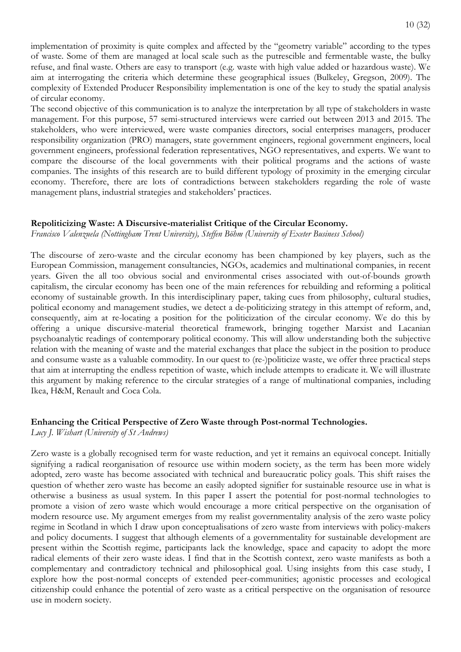implementation of proximity is quite complex and affected by the "geometry variable" according to the types of waste. Some of them are managed at local scale such as the putrescible and fermentable waste, the bulky refuse, and final waste. Others are easy to transport (e.g. waste with high value added or hazardous waste). We aim at interrogating the criteria which determine these geographical issues (Bulkeley, Gregson, 2009). The complexity of Extended Producer Responsibility implementation is one of the key to study the spatial analysis of circular economy.

The second objective of this communication is to analyze the interpretation by all type of stakeholders in waste management. For this purpose, 57 semi-structured interviews were carried out between 2013 and 2015. The stakeholders, who were interviewed, were waste companies directors, social enterprises managers, producer responsibility organization (PRO) managers, state government engineers, regional government engineers, local government engineers, professional federation representatives, NGO representatives, and experts. We want to compare the discourse of the local governments with their political programs and the actions of waste companies. The insights of this research are to build different typology of proximity in the emerging circular economy. Therefore, there are lots of contradictions between stakeholders regarding the role of waste management plans, industrial strategies and stakeholders' practices.

#### **Repoliticizing Waste: A Discursive-materialist Critique of the Circular Economy.**

*Francisco Valenzuela (Nottingham Trent University), Steffen Böhm (University of Exeter Business School)*

The discourse of zero-waste and the circular economy has been championed by key players, such as the European Commission, management consultancies, NGOs, academics and multinational companies, in recent years. Given the all too obvious social and environmental crises associated with out-of-bounds growth capitalism, the circular economy has been one of the main references for rebuilding and reforming a political economy of sustainable growth. In this interdisciplinary paper, taking cues from philosophy, cultural studies, political economy and management studies, we detect a de-politicizing strategy in this attempt of reform, and, consequently, aim at re-locating a position for the politicization of the circular economy. We do this by offering a unique discursive-material theoretical framework, bringing together Marxist and Lacanian psychoanalytic readings of contemporary political economy. This will allow understanding both the subjective relation with the meaning of waste and the material exchanges that place the subject in the position to produce and consume waste as a valuable commodity. In our quest to (re-)politicize waste, we offer three practical steps that aim at interrupting the endless repetition of waste, which include attempts to eradicate it. We will illustrate this argument by making reference to the circular strategies of a range of multinational companies, including Ikea, H&M, Renault and Coca Cola.

## **Enhancing the Critical Perspective of Zero Waste through Post-normal Technologies.**

*Lucy J. Wishart (University of St Andrews)* 

Zero waste is a globally recognised term for waste reduction, and yet it remains an equivocal concept. Initially signifying a radical reorganisation of resource use within modern society, as the term has been more widely adopted, zero waste has become associated with technical and bureaucratic policy goals. This shift raises the question of whether zero waste has become an easily adopted signifier for sustainable resource use in what is otherwise a business as usual system. In this paper I assert the potential for post-normal technologies to promote a vision of zero waste which would encourage a more critical perspective on the organisation of modern resource use. My argument emerges from my realist governmentality analysis of the zero waste policy regime in Scotland in which I draw upon conceptualisations of zero waste from interviews with policy-makers and policy documents. I suggest that although elements of a governmentality for sustainable development are present within the Scottish regime, participants lack the knowledge, space and capacity to adopt the more radical elements of their zero waste ideas. I find that in the Scottish context, zero waste manifests as both a complementary and contradictory technical and philosophical goal. Using insights from this case study, I explore how the post-normal concepts of extended peer-communities; agonistic processes and ecological citizenship could enhance the potential of zero waste as a critical perspective on the organisation of resource use in modern society.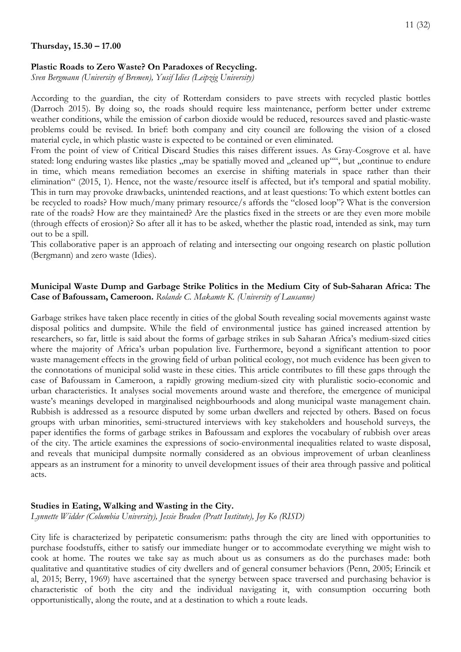## **Plastic Roads to Zero Waste? On Paradoxes of Recycling.**

*Sven Bergmann (University of Bremen), Yusif Idies (Leipzig University)*

According to the guardian, the city of Rotterdam considers to pave streets with recycled plastic bottles (Darroch 2015). By doing so, the roads should require less maintenance, perform better under extreme weather conditions, while the emission of carbon dioxide would be reduced, resources saved and plastic-waste problems could be revised. In brief: both company and city council are following the vision of a closed material cycle, in which plastic waste is expected to be contained or even eliminated.

From the point of view of Critical Discard Studies this raises different issues. As Gray-Cosgrove et al. have stated: long enduring wastes like plastics "may be spatially moved and "cleaned up"", but "continue to endure in time, which means remediation becomes an exercise in shifting materials in space rather than their elimination" (2015, 1). Hence, not the waste/resource itself is affected, but it's temporal and spatial mobility. This in turn may provoke drawbacks, unintended reactions, and at least questions: To which extent bottles can be recycled to roads? How much/many primary resource/s affords the "closed loop"? What is the conversion rate of the roads? How are they maintained? Are the plastics fixed in the streets or are they even more mobile (through effects of erosion)? So after all it has to be asked, whether the plastic road, intended as sink, may turn out to be a spill.

This collaborative paper is an approach of relating and intersecting our ongoing research on plastic pollution (Bergmann) and zero waste (Idies).

## **Municipal Waste Dump and Garbage Strike Politics in the Medium City of Sub-Saharan Africa: The Case of Bafoussam, Cameroon.** *Rolande C. Makamte K. (University of Lausanne)*

Garbage strikes have taken place recently in cities of the global South revealing social movements against waste disposal politics and dumpsite. While the field of environmental justice has gained increased attention by researchers, so far, little is said about the forms of garbage strikes in sub Saharan Africa's medium-sized cities where the majority of Africa's urban population live. Furthermore, beyond a significant attention to poor waste management effects in the growing field of urban political ecology, not much evidence has been given to the connotations of municipal solid waste in these cities. This article contributes to fill these gaps through the case of Bafoussam in Cameroon, a rapidly growing medium-sized city with pluralistic socio-economic and urban characteristics. It analyses social movements around waste and therefore, the emergence of municipal waste's meanings developed in marginalised neighbourhoods and along municipal waste management chain. Rubbish is addressed as a resource disputed by some urban dwellers and rejected by others. Based on focus groups with urban minorities, semi-structured interviews with key stakeholders and household surveys, the paper identifies the forms of garbage strikes in Bafoussam and explores the vocabulary of rubbish over areas of the city. The article examines the expressions of socio-environmental inequalities related to waste disposal, and reveals that municipal dumpsite normally considered as an obvious improvement of urban cleanliness appears as an instrument for a minority to unveil development issues of their area through passive and political acts.

## **Studies in Eating, Walking and Wasting in the City.**

*Lynnette Widder (Columbia University), Jessie Braden (Pratt Institute), Joy Ko (RISD)*

City life is characterized by peripatetic consumerism: paths through the city are lined with opportunities to purchase foodstuffs, either to satisfy our immediate hunger or to accommodate everything we might wish to cook at home. The routes we take say as much about us as consumers as do the purchases made: both qualitative and quantitative studies of city dwellers and of general consumer behaviors (Penn, 2005; Erincik et al, 2015; Berry, 1969) have ascertained that the synergy between space traversed and purchasing behavior is characteristic of both the city and the individual navigating it, with consumption occurring both opportunistically, along the route, and at a destination to which a route leads.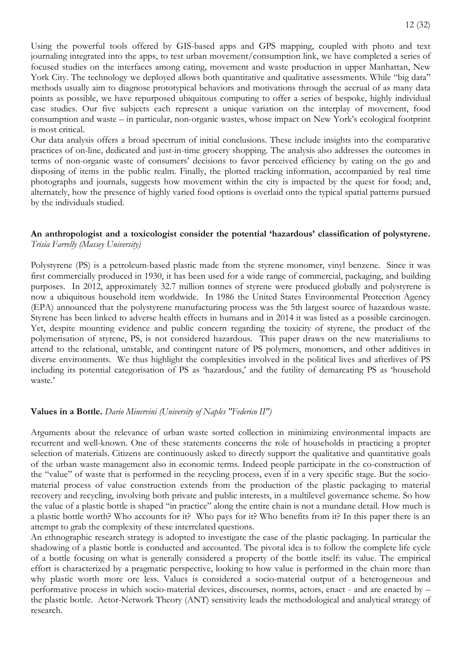Using the powerful tools offered by GIS-based apps and GPS mapping, coupled with photo and text journaling integrated into the apps, to test urban movement/consumption link, we have completed a series of focused studies on the interfaces among eating, movement and waste production in upper Manhattan, New York City. The technology we deployed allows both quantitative and qualitative assessments. While "big data" methods usually aim to diagnose prototypical behaviors and motivations through the accrual of as many data points as possible, we have repurposed ubiquitous computing to offer a series of bespoke, highly individual case studies. Our five subjects each represent a unique variation on the interplay of movement, food consumption and waste – in particular, non-organic wastes, whose impact on New York's ecological footprint is most critical.

Our data analysis offers a broad spectrum of initial conclusions. These include insights into the comparative practices of on-line, dedicated and just-in-time grocery shopping. The analysis also addresses the outcomes in terms of non-organic waste of consumers' decisions to favor perceived efficiency by eating on the go and disposing of items in the public realm. Finally, the plotted tracking information, accompanied by real time photographs and journals, suggests how movement within the city is impacted by the quest for food; and, alternately, how the presence of highly varied food options is overlaid onto the typical spatial patterns pursued by the individuals studied.

#### **An anthropologist and a toxicologist consider the potential 'hazardous' classification of polystyrene.** *Trisia Farrelly (Massey University)*

Polystyrene (PS) is a petroleum-based plastic made from the styrene monomer, vinyl benzene. Since it was first commercially produced in 1930, it has been used for a wide range of commercial, packaging, and building purposes. In 2012, approximately 32.7 million tonnes of styrene were produced globally and polystyrene is now a ubiquitous household item worldwide. In 1986 the United States Environmental Protection Agency (EPA) announced that the polystyrene manufacturing process was the 5th largest source of hazardous waste. Styrene has been linked to adverse health effects in humans and in 2014 it was listed as a possible carcinogen. Yet, despite mounting evidence and public concern regarding the toxicity of styrene, the product of the polymerisation of styrene, PS, is not considered hazardous. This paper draws on the new materialisms to attend to the relational, unstable, and contingent nature of PS polymers, monomers, and other additives in diverse environments. We thus highlight the complexities involved in the political lives and afterlives of PS including its potential categorisation of PS as 'hazardous,' and the futility of demarcating PS as 'household waste.'

## **Values in a Bottle.** *Dario Minervini (University of Naples "Federico II")*

Arguments about the relevance of urban waste sorted collection in minimizing environmental impacts are recurrent and well-known. One of these statements concerns the role of households in practicing a propter selection of materials. Citizens are continuously asked to directly support the qualitative and quantitative goals of the urban waste management also in economic terms. Indeed people participate in the co-construction of the "value" of waste that is performed in the recycling process, even if in a very specific stage. But the sociomaterial process of value construction extends from the production of the plastic packaging to material recovery and recycling, involving both private and public interests, in a multilevel governance scheme. So how the value of a plastic bottle is shaped "in practice" along the entire chain is not a mundane detail. How much is a plastic bottle worth? Who accounts for it? Who pays for it? Who benefits from it? In this paper there is an attempt to grab the complexity of these interrelated questions.

An ethnographic research strategy is adopted to investigate the case of the plastic packaging. In particular the shadowing of a plastic bottle is conducted and accounted. The pivotal idea is to follow the complete life cycle of a bottle focusing on what is generally considered a property of the bottle itself: its value. The empirical effort is characterized by a pragmatic perspective, looking to how value is performed in the chain more than why plastic worth more ore less. Values is considered a socio-material output of a heterogeneous and performative process in which socio-material devices, discourses, norms, actors, enact - and are enacted by – the plastic bottle. Actor-Network Theory (ANT) sensitivity leads the methodological and analytical strategy of research.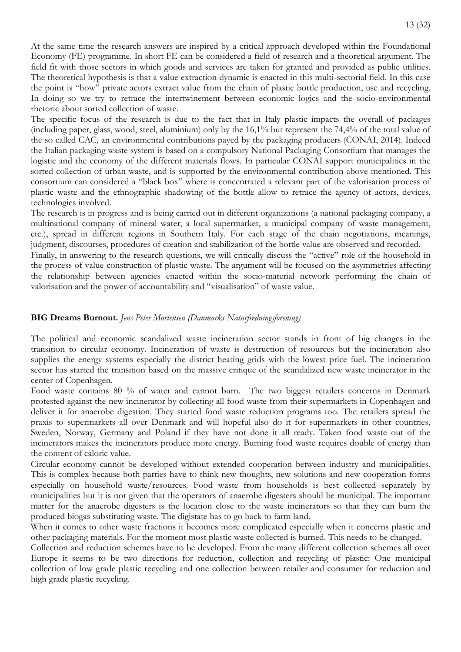At the same time the research answers are inspired by a critical approach developed within the Foundational Economy (FE) programme. In short FE can be considered a field of research and a theoretical argument. The field fit with those sectors in which goods and services are taken for granted and provided as public utilities. The theoretical hypothesis is that a value extraction dynamic is enacted in this multi-sectorial field. In this case the point is "how" private actors extract value from the chain of plastic bottle production, use and recycling. In doing so we try to retrace the intertwinement between economic logics and the socio-environmental rhetoric about sorted collection of waste.

The specific focus of the research is due to the fact that in Italy plastic impacts the overall of packages (including paper, glass, wood, steel, aluminium) only by the 16,1% but represent the 74,4% of the total value of the so called CAC, an environmental contributions payed by the packaging producers (CONAI, 2014). Indeed the Italian packaging waste system is based on a compulsory National Packaging Consortium that manages the logistic and the economy of the different materials flows. In particular CONAI support municipalities in the sorted collection of urban waste, and is supported by the environmental contribution above mentioned. This consortium can considered a "black box" where is concentrated a relevant part of the valorisation process of plastic waste and the ethnographic shadowing of the bottle allow to retrace the agency of actors, devices, technologies involved.

The research is in progress and is being carried out in different organizations (a national packaging company, a multinational company of mineral water, a local supermarket, a municipal company of waste management, etc.), spread in different regions in Southern Italy. For each stage of the chain negotiations, meanings, judgment, discourses, procedures of creation and stabilization of the bottle value are observed and recorded.

Finally, in answering to the research questions, we will critically discuss the "active" role of the household in the process of value construction of plastic waste. The argument will be focused on the asymmetries affecting the relationship between agencies enacted within the socio-material network performing the chain of valorisation and the power of accountability and "visualisation" of waste value.

## **BIG Dreams Burnout.** *Jens Peter Mortensen (Danmarks Naturfredningsforening)*

The political and economic scandalized waste incineration sector stands in front of big changes in the transition to circular economy. Incineration of waste is destruction of resources but the incineration also supplies the energy systems especially the district heating grids with the lowest price fuel. The incineration sector has started the transition based on the massive critique of the scandalized new waste incinerator in the center of Copenhagen.

Food waste contains 80 % of water and cannot burn. The two biggest retailers concerns in Denmark protested against the new incinerator by collecting all food waste from their supermarkets in Copenhagen and deliver it for anaerobe digestion. They started food waste reduction programs too. The retailers spread the praxis to supermarkets all over Denmark and will hopeful also do it for supermarkets in other countries, Sweden, Norway, Germany and Poland if they have not done it all ready. Taken food waste out of the incinerators makes the incinerators produce more energy. Burning food waste requires double of energy than the content of caloric value.

Circular economy cannot be developed without extended cooperation between industry and municipalities. This is complex because both parties have to think new thoughts, new solutions and new cooperation forms especially on household waste/resources. Food waste from households is best collected separately by municipalities but it is not given that the operators of anaerobe digesters should be municipal. The important matter for the anaerobe digesters is the location close to the waste incinerators so that they can burn the produced biogas substituting waste. The digistate has to go back to farm land.

When it comes to other waste fractions it becomes more complicated especially when it concerns plastic and other packaging materials. For the moment most plastic waste collected is burned. This needs to be changed.

Collection and reduction schemes have to be developed. From the many different collection schemes all over Europe it seems to be two directions for reduction, collection and recycling of plastic: One municipal collection of low grade plastic recycling and one collection between retailer and consumer for reduction and high grade plastic recycling.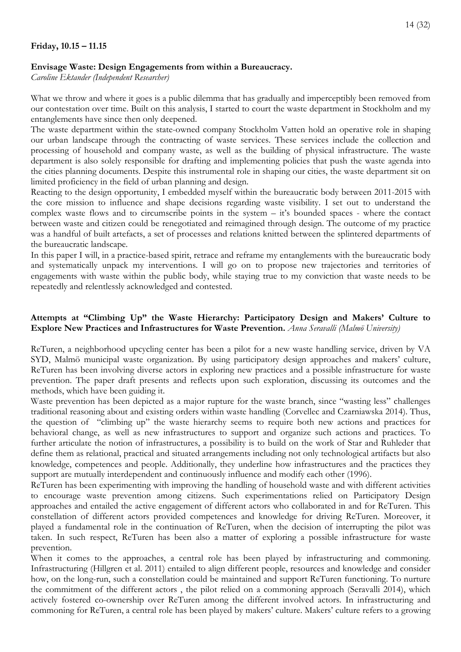## **Envisage Waste: Design Engagements from within a Bureaucracy.**

*Caroline Ektander (Independent Researcher)* 

What we throw and where it goes is a public dilemma that has gradually and imperceptibly been removed from our contestation over time. Built on this analysis, I started to court the waste department in Stockholm and my entanglements have since then only deepened.

The waste department within the state-owned company Stockholm Vatten hold an operative role in shaping our urban landscape through the contracting of waste services. These services include the collection and processing of household and company waste, as well as the building of physical infrastructure. The waste department is also solely responsible for drafting and implementing policies that push the waste agenda into the cities planning documents. Despite this instrumental role in shaping our cities, the waste department sit on limited proficiency in the field of urban planning and design.

Reacting to the design opportunity, I embedded myself within the bureaucratic body between 2011-2015 with the core mission to influence and shape decisions regarding waste visibility. I set out to understand the complex waste flows and to circumscribe points in the system – it's bounded spaces - where the contact between waste and citizen could be renegotiated and reimagined through design. The outcome of my practice was a handful of built artefacts, a set of processes and relations knitted between the splintered departments of the bureaucratic landscape.

In this paper I will, in a practice-based spirit, retrace and reframe my entanglements with the bureaucratic body and systematically unpack my interventions. I will go on to propose new trajectories and territories of engagements with waste within the public body, while staying true to my conviction that waste needs to be repeatedly and relentlessly acknowledged and contested.

# **Attempts at "Climbing Up" the Waste Hierarchy: Participatory Design and Makers' Culture to Explore New Practices and Infrastructures for Waste Prevention.** *Anna Seravalli (Malmö University)*

ReTuren, a neighborhood upcycling center has been a pilot for a new waste handling service, driven by VA SYD, Malmö municipal waste organization. By using participatory design approaches and makers' culture, ReTuren has been involving diverse actors in exploring new practices and a possible infrastructure for waste prevention. The paper draft presents and reflects upon such exploration, discussing its outcomes and the methods, which have been guiding it.

Waste prevention has been depicted as a major rupture for the waste branch, since "wasting less" challenges traditional reasoning about and existing orders within waste handling (Corvellec and Czarniawska 2014). Thus, the question of "climbing up" the waste hierarchy seems to require both new actions and practices for behavioral change, as well as new infrastructures to support and organize such actions and practices. To further articulate the notion of infrastructures, a possibility is to build on the work of Star and Ruhleder that define them as relational, practical and situated arrangements including not only technological artifacts but also knowledge, competences and people. Additionally, they underline how infrastructures and the practices they support are mutually interdependent and continuously influence and modify each other (1996).

ReTuren has been experimenting with improving the handling of household waste and with different activities to encourage waste prevention among citizens. Such experimentations relied on Participatory Design approaches and entailed the active engagement of different actors who collaborated in and for ReTuren. This constellation of different actors provided competences and knowledge for driving ReTuren. Moreover, it played a fundamental role in the continuation of ReTuren, when the decision of interrupting the pilot was taken. In such respect, ReTuren has been also a matter of exploring a possible infrastructure for waste prevention.

When it comes to the approaches, a central role has been played by infrastructuring and commoning. Infrastructuring (Hillgren et al. 2011) entailed to align different people, resources and knowledge and consider how, on the long-run, such a constellation could be maintained and support ReTuren functioning. To nurture the commitment of the different actors , the pilot relied on a commoning approach (Seravalli 2014), which actively fostered co-ownership over ReTuren among the different involved actors. In infrastructuring and commoning for ReTuren, a central role has been played by makers' culture. Makers' culture refers to a growing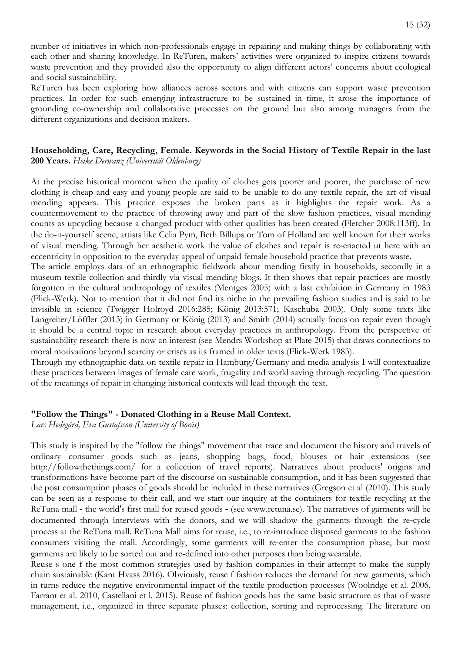number of initiatives in which non-professionals engage in repairing and making things by collaborating with each other and sharing knowledge. In ReTuren, makers' activities were organized to inspire citizens towards waste prevention and they provided also the opportunity to align different actors' concerns about ecological and social sustainability.

ReTuren has been exploring how alliances across sectors and with citizens can support waste prevention practices. In order for such emerging infrastructure to be sustained in time, it arose the importance of grounding co-ownership and collaborative processes on the ground but also among managers from the different organizations and decision makers.

## **Householding, Care, Recycling, Female. Keywords in the Social History of Textile Repair in the last 200 Years.** *Heike Derwanz (Universität Oldenburg)*

At the precise historical moment when the quality of clothes gets poorer and poorer, the purchase of new clothing is cheap and easy and young people are said to be unable to do any textile repair, the art of visual mending appears. This practice exposes the broken parts as it highlights the repair work. As a countermovement to the practice of throwing away and part of the slow fashion practices, visual mending counts as upcycling because a changed product with other qualities has been created (Fletcher 2008:113ff). In the do‐it‐yourself scene, artists like Celia Pym, Beth Billups or Tom of Holland are well known for their works of visual mending. Through her aesthetic work the value of clothes and repair is re‐enacted ut here with an eccentricity in opposition to the everyday appeal of unpaid female household practice that prevents waste.

The article employs data of an ethnographic fieldwork about mending firstly in households, secondly in a museum textile collection and thirdly via visual mending blogs. It then shows that repair practices are mostly forgotten in the cultural anthropology of textiles (Mentges 2005) with a last exhibition in Germany in 1983 (Flick‐Werk). Not to mention that it did not find its niche in the prevailing fashion studies and is said to be invisible in science (Twigger Holroyd 2016:285; König 2013:571; Kaschuba 2003). Only some texts like Langreiter/Löffler (2013) in Germany or König (2013) and Smith (2014) actually focus on repair even though it should be a central topic in research about everyday practices in anthropology. From the perspective of sustainability research there is now an interest (see Mendrs Workshop at Plate 2015) that draws connections to moral motivations beyond scarcity or crises as its framed in older texts (Flick‐Werk 1983).

Through my ethnographic data on textile repair in Hamburg/Germany and media analysis I will contextualize these practices between images of female care work, frugality and world saving through recycling. The question of the meanings of repair in changing historical contexts will lead through the text.

# **"Follow the Things" - Donated Clothing in a Reuse Mall Context.**

*Lars Hedegård, Eva Gustafsson (University of Borås)*

This study is inspired by the "follow the things" movement that trace and document the history and travels of ordinary consumer goods such as jeans, shopping bags, food, blouses or hair extensions (see http://followthethings.com/ for a collection of travel reports). Narratives about products' origins and transformations have become part of the discourse on sustainable consumption, and it has been suggested that the post consumption phases of goods should be included in these narratives (Gregson et al (2010). This study can be seen as a response to their call, and we start our inquiry at the containers for textile recycling at the ReTuna mall ‐ the world's first mall for reused goods ‐ (see www.retuna.se). The narratives of garments will be documented through interviews with the donors, and we will shadow the garments through the re‐cycle process at the ReTuna mall. ReTuna Mall aims for reuse, i.e., to re-introduce disposed garments to the fashion consumers visiting the mall. Accordingly, some garments will re-enter the consumption phase, but most garments are likely to be sorted out and re‐defined into other purposes than being wearable.

Reuse s one f the most common strategies used by fashion companies in their attempt to make the supply chain sustainable (Kant Hvass 2016). Obviously, reuse f fashion reduces the demand for new garments, which in turns reduce the negative environmental impact of the textile production processes (Woolridge et al. 2006, Farrant et al. 2010, Castellani et l. 2015). Reuse of fashion goods has the same basic structure as that of waste management, i.e., organized in three separate phases: collection, sorting and reprocessing. The literature on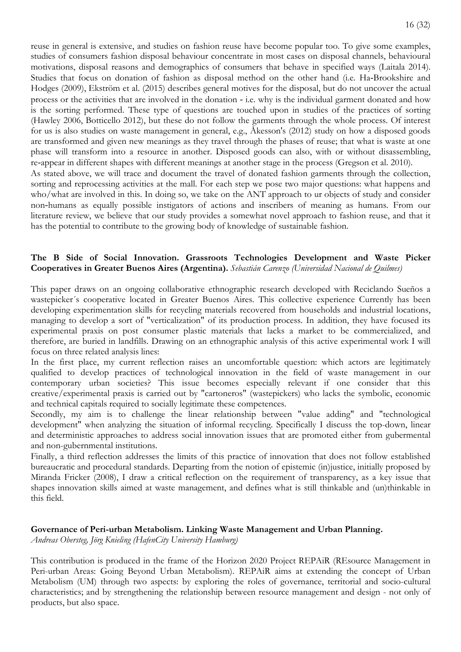reuse in general is extensive, and studies on fashion reuse have become popular too. To give some examples, studies of consumers fashion disposal behaviour concentrate in most cases on disposal channels, behavioural motivations, disposal reasons and demographics of consumers that behave in specified ways (Laitala 2014). Studies that focus on donation of fashion as disposal method on the other hand (i.e. Ha‐Brookshire and Hodges (2009), Ekström et al. (2015) describes general motives for the disposal, but do not uncover the actual process or the activities that are involved in the donation ‐ i.e. why is the individual garment donated and how is the sorting performed. These type of questions are touched upon in studies of the practices of sorting (Hawley 2006, Botticello 2012), but these do not follow the garments through the whole process. Of interest for us is also studies on waste management in general, e.g., Åkesson's (2012) study on how a disposed goods are transformed and given new meanings as they travel through the phases of reuse; that what is waste at one phase will transform into a resource in another. Disposed goods can also, with or without disassembling, re‐appear in different shapes with different meanings at another stage in the process (Gregson et al. 2010). As stated above, we will trace and document the travel of donated fashion garments through the collection, sorting and reprocessing activities at the mall. For each step we pose two major questions: what happens and

who/what are involved in this. In doing so, we take on the ANT approach to ur objects of study and consider non‐humans as equally possible instigators of actions and inscribers of meaning as humans. From our literature review, we believe that our study provides a somewhat novel approach to fashion reuse, and that it has the potential to contribute to the growing body of knowledge of sustainable fashion.

## **The B Side of Social Innovation. Grassroots Technologies Development and Waste Picker Cooperatives in Greater Buenos Aires (Argentina).** *Sebastián Carenzo (Universidad Nacional de Quilmes)*

This paper draws on an ongoing collaborative ethnographic research developed with Reciclando Sueños a wastepicker´s cooperative located in Greater Buenos Aires. This collective experience Currently has been developing experimentation skills for recycling materials recovered from households and industrial locations, managing to develop a sort of "verticalization" of its production process. In addition, they have focused its experimental praxis on post consumer plastic materials that lacks a market to be commercialized, and therefore, are buried in landfills. Drawing on an ethnographic analysis of this active experimental work I will focus on three related analysis lines:

In the first place, my current reflection raises an uncomfortable question: which actors are legitimately qualified to develop practices of technological innovation in the field of waste management in our contemporary urban societies? This issue becomes especially relevant if one consider that this creative/experimental praxis is carried out by "cartoneros" (wastepickers) who lacks the symbolic, economic and technical capitals required to socially legitimate these competences.

Secondly, my aim is to challenge the linear relationship between "value adding" and "technological development" when analyzing the situation of informal recycling. Specifically I discuss the top-down, linear and deterministic approaches to address social innovation issues that are promoted either from gubermental and non-gubernmental institutions.

Finally, a third reflection addresses the limits of this practice of innovation that does not follow established bureaucratic and procedural standards. Departing from the notion of epistemic (in)justice, initially proposed by Miranda Fricker (2008), I draw a critical reflection on the requirement of transparency, as a key issue that shapes innovation skills aimed at waste management, and defines what is still thinkable and (un)thinkable in this field.

## **Governance of Peri-urban Metabolism. Linking Waste Management and Urban Planning.**

*Andreas Obersteg, Jörg Knieling (HafenCity University Hamburg)*

This contribution is produced in the frame of the Horizon 2020 Project REPAiR (REsource Management in Peri-urban Areas: Going Beyond Urban Metabolism). REPAiR aims at extending the concept of Urban Metabolism (UM) through two aspects: by exploring the roles of governance, territorial and socio-cultural characteristics; and by strengthening the relationship between resource management and design - not only of products, but also space.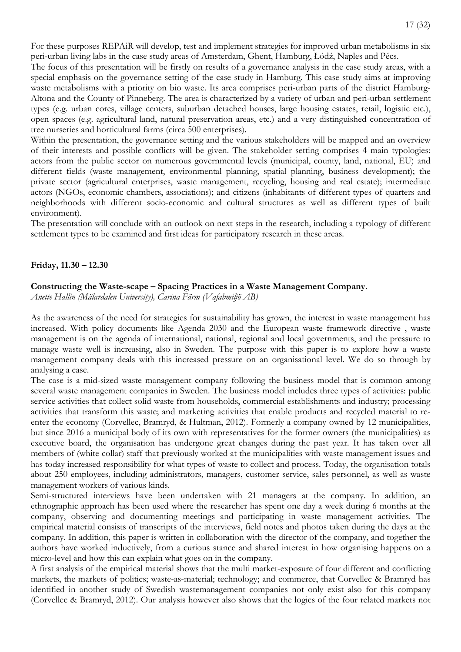For these purposes REPAiR will develop, test and implement strategies for improved urban metabolisms in six peri-urban living labs in the case study areas of Amsterdam, Ghent, Hamburg, Łódź, Naples and Pécs.

The focus of this presentation will be firstly on results of a governance analysis in the case study areas, with a special emphasis on the governance setting of the case study in Hamburg. This case study aims at improving waste metabolisms with a priority on bio waste. Its area comprises peri-urban parts of the district Hamburg-Altona and the County of Pinneberg. The area is characterized by a variety of urban and peri-urban settlement types (e.g. urban cores, village centers, suburban detached houses, large housing estates, retail, logistic etc.), open spaces (e.g. agricultural land, natural preservation areas, etc.) and a very distinguished concentration of tree nurseries and horticultural farms (circa 500 enterprises).

Within the presentation, the governance setting and the various stakeholders will be mapped and an overview of their interests and possible conflicts will be given. The stakeholder setting comprises 4 main typologies: actors from the public sector on numerous governmental levels (municipal, county, land, national, EU) and different fields (waste management, environmental planning, spatial planning, business development); the private sector (agricultural enterprises, waste management, recycling, housing and real estate); intermediate actors (NGOs, economic chambers, associations); and citizens (inhabitants of different types of quarters and neighborhoods with different socio-economic and cultural structures as well as different types of built environment).

The presentation will conclude with an outlook on next steps in the research, including a typology of different settlement types to be examined and first ideas for participatory research in these areas.

#### **Friday, 11.30 – 12.30**

#### **Constructing the Waste-scape – Spacing Practices in a Waste Management Company.**

*Anette Hallin (Mälardalen University), Carina Färm (Vafabmiljö AB)*

As the awareness of the need for strategies for sustainability has grown, the interest in waste management has increased. With policy documents like Agenda 2030 and the European waste framework directive , waste management is on the agenda of international, national, regional and local governments, and the pressure to manage waste well is increasing, also in Sweden. The purpose with this paper is to explore how a waste management company deals with this increased pressure on an organisational level. We do so through by analysing a case.

The case is a mid-sized waste management company following the business model that is common among several waste management companies in Sweden. The business model includes three types of activities: public service activities that collect solid waste from households, commercial establishments and industry; processing activities that transform this waste; and marketing activities that enable products and recycled material to reenter the economy (Corvellec, Bramryd, & Hultman, 2012). Formerly a company owned by 12 municipalities, but since 2016 a municipal body of its own with representatives for the former owners (the municipalities) as executive board, the organisation has undergone great changes during the past year. It has taken over all members of (white collar) staff that previously worked at the municipalities with waste management issues and has today increased responsibility for what types of waste to collect and process. Today, the organisation totals about 250 employees, including administrators, managers, customer service, sales personnel, as well as waste management workers of various kinds.

Semi-structured interviews have been undertaken with 21 managers at the company. In addition, an ethnographic approach has been used where the researcher has spent one day a week during 6 months at the company, observing and documenting meetings and participating in waste management activities. The empirical material consists of transcripts of the interviews, field notes and photos taken during the days at the company. In addition, this paper is written in collaboration with the director of the company, and together the authors have worked inductively, from a curious stance and shared interest in how organising happens on a micro-level and how this can explain what goes on in the company.

A first analysis of the empirical material shows that the multi market-exposure of four different and conflicting markets, the markets of politics; waste-as-material; technology; and commerce, that Corvellec & Bramryd has identified in another study of Swedish wastemanagement companies not only exist also for this company (Corvellec & Bramryd, 2012). Our analysis however also shows that the logics of the four related markets not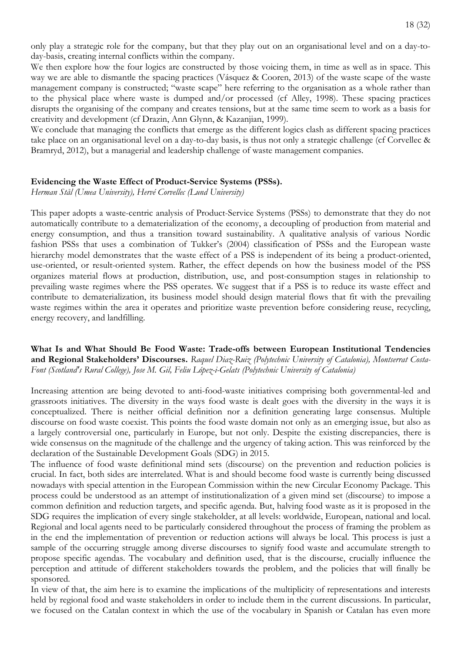only play a strategic role for the company, but that they play out on an organisational level and on a day-today-basis, creating internal conflicts within the company.

We then explore how the four logics are constructed by those voicing them, in time as well as in space. This way we are able to dismantle the spacing practices (Vásquez & Cooren, 2013) of the waste scape of the waste management company is constructed; "waste scape" here referring to the organisation as a whole rather than to the physical place where waste is dumped and/or processed (cf Alley, 1998). These spacing practices disrupts the organising of the company and creates tensions, but at the same time seem to work as a basis for creativity and development (cf Drazin, Ann Glynn, & Kazanjian, 1999).

We conclude that managing the conflicts that emerge as the different logics clash as different spacing practices take place on an organisational level on a day-to-day basis, is thus not only a strategic challenge (cf Corvellec & Bramryd, 2012), but a managerial and leadership challenge of waste management companies.

#### **Evidencing the Waste Effect of Product-Service Systems (PSSs).**

*Herman Stål (Umea University), Hervé Corvellec (Lund University)*

This paper adopts a waste-centric analysis of Product-Service Systems (PSSs) to demonstrate that they do not automatically contribute to a dematerialization of the economy, a decoupling of production from material and energy consumption, and thus a transition toward sustainability. A qualitative analysis of various Nordic fashion PSSs that uses a combination of Tukker's (2004) classification of PSSs and the European waste hierarchy model demonstrates that the waste effect of a PSS is independent of its being a product-oriented, use-oriented, or result-oriented system. Rather, the effect depends on how the business model of the PSS organizes material flows at production, distribution, use, and post-consumption stages in relationship to prevailing waste regimes where the PSS operates. We suggest that if a PSS is to reduce its waste effect and contribute to dematerialization, its business model should design material flows that fit with the prevailing waste regimes within the area it operates and prioritize waste prevention before considering reuse, recycling, energy recovery, and landfilling.

**What Is and What Should Be Food Waste: Trade-offs between European Institutional Tendencies and Regional Stakeholders' Discourses.** *Raquel Diaz-Ruiz (Polytechnic University of Catalonia), Montserrat Costa-Font (Scotland's Rural College), Jose M. Gil, Feliu López-i-Gelats (Polytechnic University of Catalonia)*

Increasing attention are being devoted to anti-food-waste initiatives comprising both governmental-led and grassroots initiatives. The diversity in the ways food waste is dealt goes with the diversity in the ways it is conceptualized. There is neither official definition nor a definition generating large consensus. Multiple discourse on food waste coexist. This points the food waste domain not only as an emerging issue, but also as a largely controversial one, particularly in Europe, but not only. Despite the existing discrepancies, there is wide consensus on the magnitude of the challenge and the urgency of taking action. This was reinforced by the declaration of the Sustainable Development Goals (SDG) in 2015.

The influence of food waste definitional mind sets (discourse) on the prevention and reduction policies is crucial. In fact, both sides are interrelated. What is and should become food waste is currently being discussed nowadays with special attention in the European Commission within the new Circular Economy Package. This process could be understood as an attempt of institutionalization of a given mind set (discourse) to impose a common definition and reduction targets, and specific agenda. But, halving food waste as it is proposed in the SDG requires the implication of every single stakeholder, at all levels: worldwide, European, national and local. Regional and local agents need to be particularly considered throughout the process of framing the problem as in the end the implementation of prevention or reduction actions will always be local. This process is just a sample of the occurring struggle among diverse discourses to signify food waste and accumulate strength to propose specific agendas. The vocabulary and definition used, that is the discourse, crucially influence the perception and attitude of different stakeholders towards the problem, and the policies that will finally be sponsored.

In view of that, the aim here is to examine the implications of the multiplicity of representations and interests held by regional food and waste stakeholders in order to include them in the current discussions. In particular, we focused on the Catalan context in which the use of the vocabulary in Spanish or Catalan has even more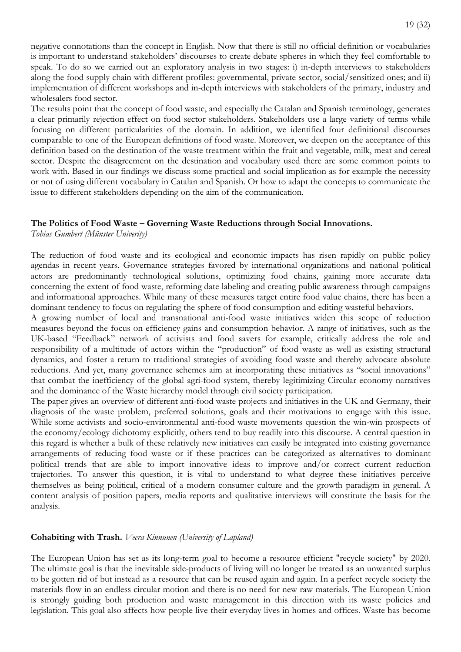negative connotations than the concept in English. Now that there is still no official definition or vocabularies is important to understand stakeholders' discourses to create debate spheres in which they feel comfortable to speak. To do so we carried out an exploratory analysis in two stages: i) in-depth interviews to stakeholders along the food supply chain with different profiles: governmental, private sector, social/sensitized ones; and ii) implementation of different workshops and in-depth interviews with stakeholders of the primary, industry and wholesalers food sector.

The results point that the concept of food waste, and especially the Catalan and Spanish terminology, generates a clear primarily rejection effect on food sector stakeholders. Stakeholders use a large variety of terms while focusing on different particularities of the domain. In addition, we identified four definitional discourses comparable to one of the European definitions of food waste. Moreover, we deepen on the acceptance of this definition based on the destination of the waste treatment within the fruit and vegetable, milk, meat and cereal sector. Despite the disagreement on the destination and vocabulary used there are some common points to work with. Based in our findings we discuss some practical and social implication as for example the necessity or not of using different vocabulary in Catalan and Spanish. Or how to adapt the concepts to communicate the issue to different stakeholders depending on the aim of the communication.

#### **The Politics of Food Waste – Governing Waste Reductions through Social Innovations.**

*Tobias Gumbert (Münster Univerity)* 

The reduction of food waste and its ecological and economic impacts has risen rapidly on public policy agendas in recent years. Governance strategies favored by international organizations and national political actors are predominantly technological solutions, optimizing food chains, gaining more accurate data concerning the extent of food waste, reforming date labeling and creating public awareness through campaigns and informational approaches. While many of these measures target entire food value chains, there has been a dominant tendency to focus on regulating the sphere of food consumption and editing wasteful behaviors.

A growing number of local and transnational anti-food waste initiatives widen this scope of reduction measures beyond the focus on efficiency gains and consumption behavior. A range of initiatives, such as the UK-based "Feedback" network of activists and food savers for example, critically address the role and responsibility of a multitude of actors within the "production" of food waste as well as existing structural dynamics, and foster a return to traditional strategies of avoiding food waste and thereby advocate absolute reductions. And yet, many governance schemes aim at incorporating these initiatives as "social innovations" that combat the inefficiency of the global agri-food system, thereby legitimizing Circular economy narratives and the dominance of the Waste hierarchy model through civil society participation.

The paper gives an overview of different anti-food waste projects and initiatives in the UK and Germany, their diagnosis of the waste problem, preferred solutions, goals and their motivations to engage with this issue. While some activists and socio-environmental anti-food waste movements question the win-win prospects of the economy/ecology dichotomy explicitly, others tend to buy readily into this discourse. A central question in this regard is whether a bulk of these relatively new initiatives can easily be integrated into existing governance arrangements of reducing food waste or if these practices can be categorized as alternatives to dominant political trends that are able to import innovative ideas to improve and/or correct current reduction trajectories. To answer this question, it is vital to understand to what degree these initiatives perceive themselves as being political, critical of a modern consumer culture and the growth paradigm in general. A content analysis of position papers, media reports and qualitative interviews will constitute the basis for the analysis.

#### **Cohabiting with Trash.** *Veera Kinnunen (University of Lapland)*

The European Union has set as its long-term goal to become a resource efficient "recycle society" by 2020. The ultimate goal is that the inevitable side-products of living will no longer be treated as an unwanted surplus to be gotten rid of but instead as a resource that can be reused again and again. In a perfect recycle society the materials flow in an endless circular motion and there is no need for new raw materials. The European Union is strongly guiding both production and waste management in this direction with its waste policies and legislation. This goal also affects how people live their everyday lives in homes and offices. Waste has become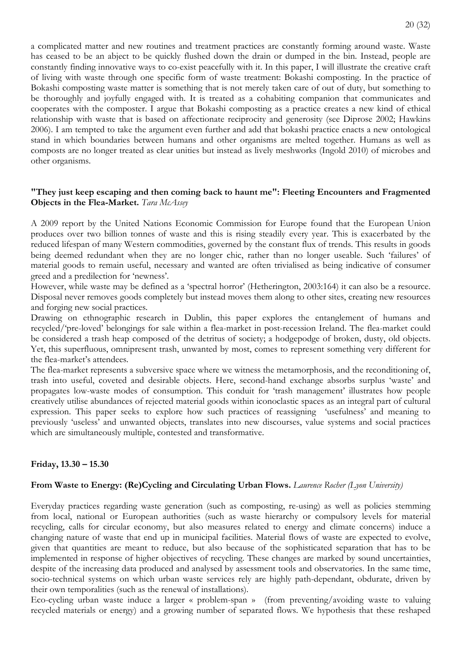a complicated matter and new routines and treatment practices are constantly forming around waste. Waste has ceased to be an abject to be quickly flushed down the drain or dumped in the bin. Instead, people are constantly finding innovative ways to co-exist peacefully with it. In this paper, I will illustrate the creative craft of living with waste through one specific form of waste treatment: Bokashi composting. In the practice of Bokashi composting waste matter is something that is not merely taken care of out of duty, but something to be thoroughly and joyfully engaged with. It is treated as a cohabiting companion that communicates and cooperates with the composter. I argue that Bokashi composting as a practice creates a new kind of ethical relationship with waste that is based on affectionate reciprocity and generosity (see Diprose 2002; Hawkins 2006). I am tempted to take the argument even further and add that bokashi practice enacts a new ontological stand in which boundaries between humans and other organisms are melted together. Humans as well as composts are no longer treated as clear unities but instead as lively meshworks (Ingold 2010) of microbes and other organisms.

## **"They just keep escaping and then coming back to haunt me": Fleeting Encounters and Fragmented Objects in the Flea-Market.** *Tara McAssey*

A 2009 report by the United Nations Economic Commission for Europe found that the European Union produces over two billion tonnes of waste and this is rising steadily every year. This is exacerbated by the reduced lifespan of many Western commodities, governed by the constant flux of trends. This results in goods being deemed redundant when they are no longer chic, rather than no longer useable. Such 'failures' of material goods to remain useful, necessary and wanted are often trivialised as being indicative of consumer greed and a predilection for 'newness'.

However, while waste may be defined as a 'spectral horror' (Hetherington, 2003:164) it can also be a resource. Disposal never removes goods completely but instead moves them along to other sites, creating new resources and forging new social practices.

Drawing on ethnographic research in Dublin, this paper explores the entanglement of humans and recycled/'pre-loved' belongings for sale within a flea-market in post-recession Ireland. The flea-market could be considered a trash heap composed of the detritus of society; a hodgepodge of broken, dusty, old objects. Yet, this superfluous, omnipresent trash, unwanted by most, comes to represent something very different for the flea-market's attendees.

The flea-market represents a subversive space where we witness the metamorphosis, and the reconditioning of, trash into useful, coveted and desirable objects. Here, second-hand exchange absorbs surplus 'waste' and propagates low-waste modes of consumption. This conduit for 'trash management' illustrates how people creatively utilise abundances of rejected material goods within iconoclastic spaces as an integral part of cultural expression. This paper seeks to explore how such practices of reassigning 'usefulness' and meaning to previously 'useless' and unwanted objects, translates into new discourses, value systems and social practices which are simultaneously multiple, contested and transformative.

## **Friday, 13.30 – 15.30**

## **From Waste to Energy: (Re)Cycling and Circulating Urban Flows.** *Laurence Rocher (Lyon University)*

Everyday practices regarding waste generation (such as composting, re-using) as well as policies stemming from local, national or European authorities (such as waste hierarchy or compulsory levels for material recycling, calls for circular economy, but also measures related to energy and climate concerns) induce a changing nature of waste that end up in municipal facilities. Material flows of waste are expected to evolve, given that quantities are meant to reduce, but also because of the sophisticated separation that has to be implemented in response of higher objectives of recycling. These changes are marked by sound uncertainties, despite of the increasing data produced and analysed by assessment tools and observatories. In the same time, socio-technical systems on which urban waste services rely are highly path-dependant, obdurate, driven by their own temporalities (such as the renewal of installations).

Eco-cycling urban waste induce a larger « problem-span » (from preventing/avoiding waste to valuing recycled materials or energy) and a growing number of separated flows. We hypothesis that these reshaped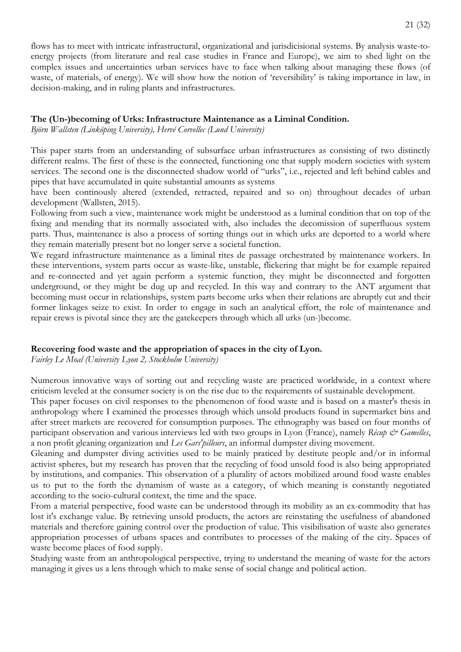flows has to meet with intricate infrastructural, organizational and jurisdicisional systems. By analysis waste-toenergy projects (from literature and real case studies in France and Europe), we aim to shed light on the complex issues and uncertainties urban services have to face when talking about managing these flows (of waste, of materials, of energy). We will show how the notion of 'reversibility' is taking importance in law, in decision-making, and in ruling plants and infrastructures.

## **The (Un-)becoming of Urks: Infrastructure Maintenance as a Liminal Condition.**

*Björn Wallsten (Linköping University), Hervé Corvellec (Lund University)*

This paper starts from an understanding of subsurface urban infrastructures as consisting of two distinctly different realms. The first of these is the connected, functioning one that supply modern societies with system services. The second one is the disconnected shadow world of "urks", i.e., rejected and left behind cables and pipes that have accumulated in quite substantial amounts as systems

have been continously altered (extended, retracted, repaired and so on) throughout decades of urban development (Wallsten, 2015).

Following from such a view, maintenance work might be understood as a luminal condition that on top of the fixing and mending that its normally associated with, also includes the decomission of superfluous system parts. Thus, maintenance is also a process of sorting things out in which urks are deported to a world where they remain materially present but no longer serve a societal function.

We regard infrastructure maintenance as a liminal rites de passage orchestrated by maintenance workers. In these interventions, system parts occur as waste-like, unstable, flickering that might be for example repaired and re-connected and yet again perform a systemic function, they might be disconnected and forgotten underground, or they might be dug up and recycled. In this way and contrary to the ANT argument that becoming must occur in relationships, system parts become urks when their relations are abruptly cut and their former linkages seize to exist. In order to engage in such an analytical effort, the role of maintenance and repair crews is pivotal since they are the gatekeepers through which all urks (un-)become.

## **Recovering food waste and the appropriation of spaces in the city of Lyon.**

*Fairley Le Moal (University Lyon 2, Stockholm University)*

Numerous innovative ways of sorting out and recycling waste are practiced worldwide, in a context where criticism leveled at the consumer society is on the rise due to the requirements of sustainable development.

This paper focuses on civil responses to the phenomenon of food waste and is based on a master's thesis in anthropology where I examined the processes through which unsold products found in supermarket bins and after street markets are recovered for consumption purposes. The ethnography was based on four months of participant observation and various interviews led with two groups in Lyon (France), namely *Récup & Gamelles*, a non profit gleaning organization and *Les Gars'pilleurs*, an informal dumpster diving movement.

Gleaning and dumpster diving activities used to be mainly praticed by destitute people and/or in informal activist spheres, but my research has proven that the recycling of food unsold food is also being appropriated by institutions, and companies. This observation of a plurality of actors mobilized around food waste enables us to put to the forth the dynamism of waste as a category, of which meaning is constantly negotiated according to the socio-cultural context, the time and the space.

From a material perspective, food waste can be understood through its mobility as an ex-commodity that has lost it's exchange value. By retrieving unsold products, the actors are reinstating the usefulness of abandoned materials and therefore gaining control over the production of value. This visibilisation of waste also generates appropriation processes of urbans spaces and contributes to processes of the making of the city. Spaces of waste become places of food supply.

Studying waste from an anthropological perspective, trying to understand the meaning of waste for the actors managing it gives us a lens through which to make sense of social change and political action.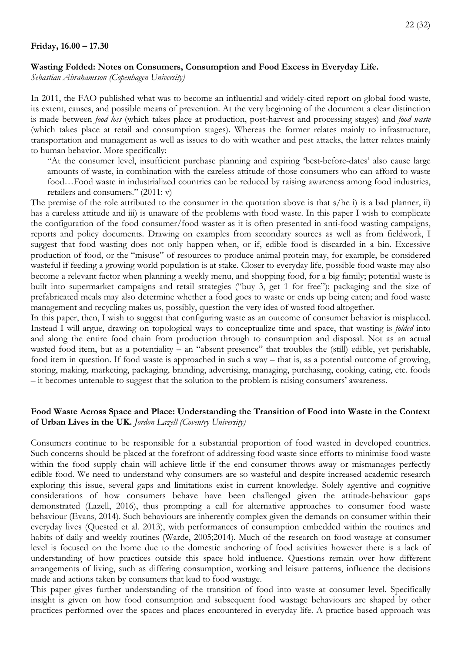#### **Wasting Folded: Notes on Consumers, Consumption and Food Excess in Everyday Life.**

*Sebastian Abrahamsson (Copenhagen University)*

In 2011, the FAO published what was to become an influential and widely-cited report on global food waste, its extent, causes, and possible means of prevention. At the very beginning of the document a clear distinction is made between *food loss* (which takes place at production, post-harvest and processing stages) and *food waste* (which takes place at retail and consumption stages). Whereas the former relates mainly to infrastructure, transportation and management as well as issues to do with weather and pest attacks, the latter relates mainly to human behavior. More specifically:

"At the consumer level, insufficient purchase planning and expiring 'best-before-dates' also cause large amounts of waste, in combination with the careless attitude of those consumers who can afford to waste food...Food waste in industrialized countries can be reduced by raising awareness among food industries, retailers and consumers." (2011: v)

The premise of the role attributed to the consumer in the quotation above is that s/he i) is a bad planner, ii) has a careless attitude and iii) is unaware of the problems with food waste. In this paper I wish to complicate the configuration of the food consumer/food waster as it is often presented in anti-food wasting campaigns, reports and policy documents. Drawing on examples from secondary sources as well as from fieldwork, I suggest that food wasting does not only happen when, or if, edible food is discarded in a bin. Excessive production of food, or the "misuse" of resources to produce animal protein may, for example, be considered wasteful if feeding a growing world population is at stake. Closer to everyday life, possible food waste may also become a relevant factor when planning a weekly menu, and shopping food, for a big family; potential waste is built into supermarket campaigns and retail strategies ("buy 3, get 1 for free"); packaging and the size of prefabricated meals may also determine whether a food goes to waste or ends up being eaten; and food waste management and recycling makes us, possibly, question the very idea of wasted food altogether.

In this paper, then, I wish to suggest that configuring waste as an outcome of consumer behavior is misplaced. Instead I will argue, drawing on topological ways to conceptualize time and space, that wasting is *folded* into and along the entire food chain from production through to consumption and disposal. Not as an actual wasted food item, but as a potentiality – an "absent presence" that troubles the (still) edible, yet perishable, food item in question. If food waste is approached in such a way – that is, as a potential outcome of growing, storing, making, marketing, packaging, branding, advertising, managing, purchasing, cooking, eating, etc. foods – it becomes untenable to suggest that the solution to the problem is raising consumers' awareness.

## **Food Waste Across Space and Place: Understanding the Transition of Food into Waste in the Context of Urban Lives in the UK.** *Jordon Lazell (Coventry University)*

Consumers continue to be responsible for a substantial proportion of food wasted in developed countries. Such concerns should be placed at the forefront of addressing food waste since efforts to minimise food waste within the food supply chain will achieve little if the end consumer throws away or mismanages perfectly edible food. We need to understand why consumers are so wasteful and despite increased academic research exploring this issue, several gaps and limitations exist in current knowledge. Solely agentive and cognitive considerations of how consumers behave have been challenged given the attitude-behaviour gaps demonstrated (Lazell, 2016), thus prompting a call for alternative approaches to consumer food waste behaviour (Evans, 2014). Such behaviours are inherently complex given the demands on consumer within their everyday lives (Quested et al. 2013), with performances of consumption embedded within the routines and habits of daily and weekly routines (Warde, 2005;2014). Much of the research on food wastage at consumer level is focused on the home due to the domestic anchoring of food activities however there is a lack of understanding of how practices outside this space hold influence. Questions remain over how different arrangements of living, such as differing consumption, working and leisure patterns, influence the decisions made and actions taken by consumers that lead to food wastage.

This paper gives further understanding of the transition of food into waste at consumer level. Specifically insight is given on how food consumption and subsequent food wastage behaviours are shaped by other practices performed over the spaces and places encountered in everyday life. A practice based approach was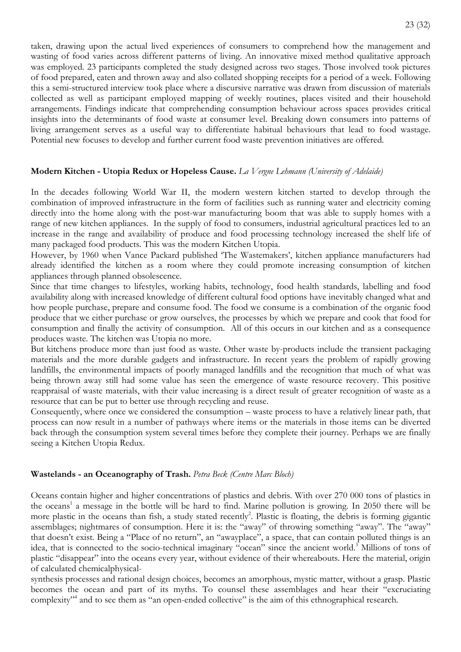taken, drawing upon the actual lived experiences of consumers to comprehend how the management and wasting of food varies across different patterns of living. An innovative mixed method qualitative approach was employed. 23 participants completed the study designed across two stages. Those involved took pictures of food prepared, eaten and thrown away and also collated shopping receipts for a period of a week. Following this a semi-structured interview took place where a discursive narrative was drawn from discussion of materials collected as well as participant employed mapping of weekly routines, places visited and their household arrangements. Findings indicate that comprehending consumption behaviour across spaces provides critical insights into the determinants of food waste at consumer level. Breaking down consumers into patterns of living arrangement serves as a useful way to differentiate habitual behaviours that lead to food wastage. Potential new focuses to develop and further current food waste prevention initiatives are offered.

## **Modern Kitchen - Utopia Redux or Hopeless Cause.** *La Vergne Lehmann (University of Adelaide)*

In the decades following World War II, the modern western kitchen started to develop through the combination of improved infrastructure in the form of facilities such as running water and electricity coming directly into the home along with the post-war manufacturing boom that was able to supply homes with a range of new kitchen appliances. In the supply of food to consumers, industrial agricultural practices led to an increase in the range and availability of produce and food processing technology increased the shelf life of many packaged food products. This was the modern Kitchen Utopia.

However, by 1960 when Vance Packard published 'The Wastemakers', kitchen appliance manufacturers had already identified the kitchen as a room where they could promote increasing consumption of kitchen appliances through planned obsolescence.

Since that time changes to lifestyles, working habits, technology, food health standards, labelling and food availability along with increased knowledge of different cultural food options have inevitably changed what and how people purchase, prepare and consume food. The food we consume is a combination of the organic food produce that we either purchase or grow ourselves, the processes by which we prepare and cook that food for consumption and finally the activity of consumption. All of this occurs in our kitchen and as a consequence produces waste. The kitchen was Utopia no more.

But kitchens produce more than just food as waste. Other waste by-products include the transient packaging materials and the more durable gadgets and infrastructure. In recent years the problem of rapidly growing landfills, the environmental impacts of poorly managed landfills and the recognition that much of what was being thrown away still had some value has seen the emergence of waste resource recovery. This positive reappraisal of waste materials, with their value increasing is a direct result of greater recognition of waste as a resource that can be put to better use through recycling and reuse.

Consequently, where once we considered the consumption – waste process to have a relatively linear path, that process can now result in a number of pathways where items or the materials in those items can be diverted back through the consumption system several times before they complete their journey. Perhaps we are finally seeing a Kitchen Utopia Redux.

## **Wastelands - an Oceanography of Trash.** *Petra Beck (Centre Marc Bloch)*

Oceans contain higher and higher concentrations of plastics and debris. With over 270 000 tons of plastics in the oceans<sup>1</sup> a message in the bottle will be hard to find. Marine pollution is growing. In 2050 there will be more plastic in the oceans than fish, a study stated recently<sup>2</sup>. Plastic is floating, the debris is forming gigantic assemblages; nightmares of consumption. Here it is: the "away" of throwing something "away". The "away" that doesn't exist. Being a "Place of no return", an "awayplace", a space, that can contain polluted things is an idea, that is connected to the socio-technical imaginary "ocean" since the ancient world.<sup>3</sup> Millions of tons of plastic "disappear" into the oceans every year, without evidence of their whereabouts. Here the material, origin of calculated chemicalphysical-

synthesis processes and rational design choices, becomes an amorphous, mystic matter, without a grasp. Plastic becomes the ocean and part of its myths. To counsel these assemblages and hear their "excruciating complexity"<sup>4</sup> and to see them as "an open-ended collective" is the aim of this ethnographical research.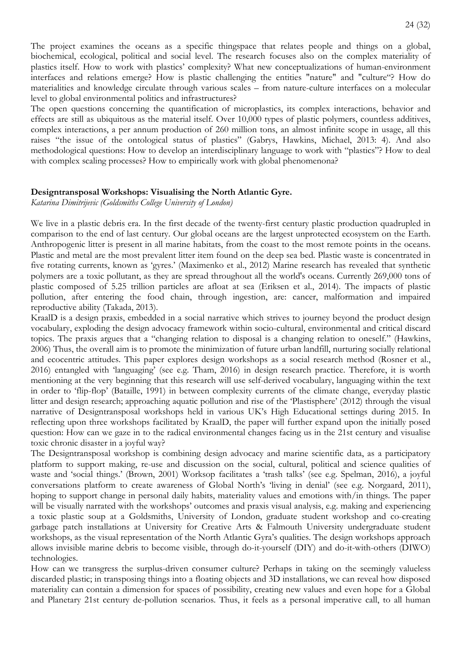The project examines the oceans as a specific thingspace that relates people and things on a global, biochemical, ecological, political and social level. The research focuses also on the complex materiality of plastics itself. How to work with plastics' complexity? What new conceptualizations of human-environment interfaces and relations emerge? How is plastic challenging the entities "nature" and "culture"? How do materialities and knowledge circulate through various scales – from nature-culture interfaces on a molecular level to global environmental politics and infrastructures?

The open questions concerning the quantification of microplastics, its complex interactions, behavior and effects are still as ubiquitous as the material itself. Over 10,000 types of plastic polymers, countless additives, complex interactions, a per annum production of 260 million tons, an almost infinite scope in usage, all this raises "the issue of the ontological status of plastics" (Gabrys, Hawkins, Michael, 2013: 4). And also methodological questions: How to develop an interdisciplinary language to work with "plastics"? How to deal with complex scaling processes? How to empirically work with global phenomenona?

#### **Designtransposal Workshops: Visualising the North Atlantic Gyre.**

*Katarina Dimitrijevic (Goldsmiths College University of London)*

We live in a plastic debris era. In the first decade of the twenty-first century plastic production quadrupled in comparison to the end of last century. Our global oceans are the largest unprotected ecosystem on the Earth. Anthropogenic litter is present in all marine habitats, from the coast to the most remote points in the oceans. Plastic and metal are the most prevalent litter item found on the deep sea bed. Plastic waste is concentrated in five rotating currents, known as 'gyres.' (Maximenko et al., 2012) Marine research has revealed that synthetic polymers are a toxic pollutant, as they are spread throughout all the world's oceans. Currently 269,000 tons of plastic composed of 5.25 trillion particles are afloat at sea (Eriksen et al., 2014). The impacts of plastic pollution, after entering the food chain, through ingestion, are: cancer, malformation and impaired reproductive ability (Takada, 2013).

KraalD is a design praxis, embedded in a social narrative which strives to journey beyond the product design vocabulary, exploding the design advocacy framework within socio-cultural, environmental and critical discard topics. The praxis argues that a "changing relation to disposal is a changing relation to oneself." (Hawkins, 2006) Thus, the overall aim is to promote the minimization of future urban landfill, nurturing socially relational and ecocentric attitudes. This paper explores design workshops as a social research method (Rosner et al., 2016) entangled with 'languaging' (see e.g. Tham, 2016) in design research practice. Therefore, it is worth mentioning at the very beginning that this research will use self-derived vocabulary, languaging within the text in order to 'flip-flop' (Bataille, 1991) in between complexity currents of the climate change, everyday plastic litter and design research; approaching aquatic pollution and rise of the 'Plastisphere' (2012) through the visual narrative of Designtransposal workshops held in various UK's High Educational settings during 2015. In reflecting upon three workshops facilitated by KraalD, the paper will further expand upon the initially posed question: How can we gaze in to the radical environmental changes facing us in the 21st century and visualise toxic chronic disaster in a joyful way?

The Designtransposal workshop is combining design advocacy and marine scientific data, as a participatory platform to support making, re-use and discussion on the social, cultural, political and science qualities of waste and 'social things.' (Brown, 2001) Worksop facilitates a 'trash talks' (see e.g. Spelman, 2016), a joyful conversations platform to create awareness of Global North's 'living in denial' (see e.g. Norgaard, 2011), hoping to support change in personal daily habits, materiality values and emotions with/in things. The paper will be visually narrated with the workshops' outcomes and praxis visual analysis, e.g. making and experiencing a toxic plastic soup at a Goldsmiths, University of London, graduate student workshop and co-creating garbage patch installations at University for Creative Arts & Falmouth University undergraduate student workshops, as the visual representation of the North Atlantic Gyra's qualities. The design workshops approach allows invisible marine debris to become visible, through do-it-yourself (DIY) and do-it-with-others (DIWO) technologies.

How can we transgress the surplus-driven consumer culture? Perhaps in taking on the seemingly valueless discarded plastic; in transposing things into a floating objects and 3D installations, we can reveal how disposed materiality can contain a dimension for spaces of possibility, creating new values and even hope for a Global and Planetary 21st century de-pollution scenarios. Thus, it feels as a personal imperative call, to all human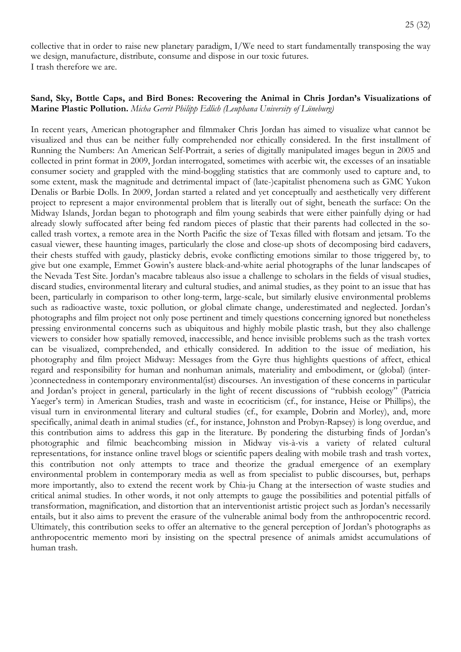collective that in order to raise new planetary paradigm, I/We need to start fundamentally transposing the way we design, manufacture, distribute, consume and dispose in our toxic futures. I trash therefore we are.

#### **Sand, Sky, Bottle Caps, and Bird Bones: Recovering the Animal in Chris Jordan's Visualizations of Marine Plastic Pollution.** *Micha Gerrit Philipp Edlich (Leuphana University of Lüneburg)*

In recent years, American photographer and filmmaker Chris Jordan has aimed to visualize what cannot be visualized and thus can be neither fully comprehended nor ethically considered. In the first installment of Running the Numbers: An American Self-Portrait, a series of digitally manipulated images begun in 2005 and collected in print format in 2009, Jordan interrogated, sometimes with acerbic wit, the excesses of an insatiable consumer society and grappled with the mind-boggling statistics that are commonly used to capture and, to some extent, mask the magnitude and detrimental impact of (late-)capitalist phenomena such as GMC Yukon Denalis or Barbie Dolls. In 2009, Jordan started a related and yet conceptually and aesthetically very different project to represent a major environmental problem that is literally out of sight, beneath the surface: On the Midway Islands, Jordan began to photograph and film young seabirds that were either painfully dying or had already slowly suffocated after being fed random pieces of plastic that their parents had collected in the socalled trash vortex, a remote area in the North Pacific the size of Texas filled with flotsam and jetsam. To the casual viewer, these haunting images, particularly the close and close-up shots of decomposing bird cadavers, their chests stuffed with gaudy, plasticky debris, evoke conflicting emotions similar to those triggered by, to give but one example, Emmet Gowin's austere black-and-white aerial photographs of the lunar landscapes of the Nevada Test Site. Jordan's macabre tableaus also issue a challenge to scholars in the fields of visual studies, discard studies, environmental literary and cultural studies, and animal studies, as they point to an issue that has been, particularly in comparison to other long-term, large-scale, but similarly elusive environmental problems such as radioactive waste, toxic pollution, or global climate change, underestimated and neglected. Jordan's photographs and film project not only pose pertinent and timely questions concerning ignored but nonetheless pressing environmental concerns such as ubiquitous and highly mobile plastic trash, but they also challenge viewers to consider how spatially removed, inaccessible, and hence invisible problems such as the trash vortex can be visualized, comprehended, and ethically considered. In addition to the issue of mediation, his photography and film project Midway: Messages from the Gyre thus highlights questions of affect, ethical regard and responsibility for human and nonhuman animals, materiality and embodiment, or (global) (inter- )connectedness in contemporary environmental(ist) discourses. An investigation of these concerns in particular and Jordan's project in general, particularly in the light of recent discussions of "rubbish ecology" (Patricia Yaeger's term) in American Studies, trash and waste in ecocriticism (cf., for instance, Heise or Phillips), the visual turn in environmental literary and cultural studies (cf., for example, Dobrin and Morley), and, more specifically, animal death in animal studies (cf., for instance, Johnston and Probyn-Rapsey) is long overdue, and this contribution aims to address this gap in the literature. By pondering the disturbing finds of Jordan's photographic and filmic beachcombing mission in Midway vis-à-vis a variety of related cultural representations, for instance online travel blogs or scientific papers dealing with mobile trash and trash vortex, this contribution not only attempts to trace and theorize the gradual emergence of an exemplary environmental problem in contemporary media as well as from specialist to public discourses, but, perhaps more importantly, also to extend the recent work by Chia-ju Chang at the intersection of waste studies and critical animal studies. In other words, it not only attempts to gauge the possibilities and potential pitfalls of transformation, magnification, and distortion that an interventionist artistic project such as Jordan's necessarily entails, but it also aims to prevent the erasure of the vulnerable animal body from the anthropocentric record. Ultimately, this contribution seeks to offer an alternative to the general perception of Jordan's photographs as anthropocentric memento mori by insisting on the spectral presence of animals amidst accumulations of human trash.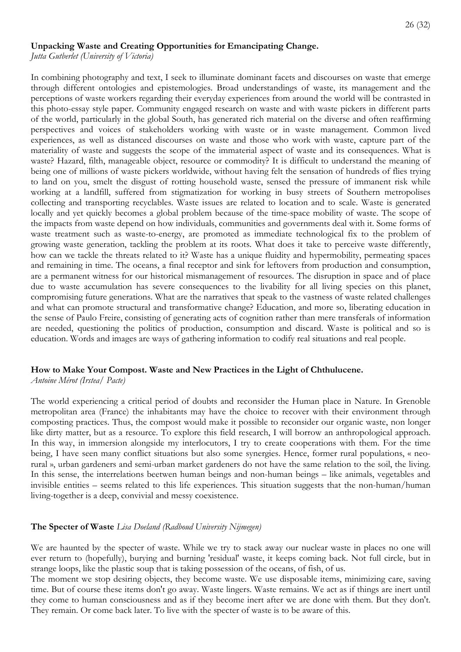#### **Unpacking Waste and Creating Opportunities for Emancipating Change.**

*Jutta Gutberlet (University of Victoria)* 

In combining photography and text, I seek to illuminate dominant facets and discourses on waste that emerge through different ontologies and epistemologies. Broad understandings of waste, its management and the perceptions of waste workers regarding their everyday experiences from around the world will be contrasted in this photo-essay style paper. Community engaged research on waste and with waste pickers in different parts of the world, particularly in the global South, has generated rich material on the diverse and often reaffirming perspectives and voices of stakeholders working with waste or in waste management. Common lived experiences, as well as distanced discourses on waste and those who work with waste, capture part of the materiality of waste and suggests the scope of the immaterial aspect of waste and its consequences. What is waste? Hazard, filth, manageable object, resource or commodity? It is difficult to understand the meaning of being one of millions of waste pickers worldwide, without having felt the sensation of hundreds of flies trying to land on you, smelt the disgust of rotting household waste, sensed the pressure of immanent risk while working at a landfill, suffered from stigmatization for working in busy streets of Southern metropolises collecting and transporting recyclables. Waste issues are related to location and to scale. Waste is generated locally and yet quickly becomes a global problem because of the time-space mobility of waste. The scope of the impacts from waste depend on how individuals, communities and governments deal with it. Some forms of waste treatment such as waste-to-energy, are promoted as immediate technological fix to the problem of growing waste generation, tackling the problem at its roots. What does it take to perceive waste differently, how can we tackle the threats related to it? Waste has a unique fluidity and hypermobility, permeating spaces and remaining in time. The oceans, a final receptor and sink for leftovers from production and consumption, are a permanent witness for our historical mismanagement of resources. The disruption in space and of place due to waste accumulation has severe consequences to the livability for all living species on this planet, compromising future generations. What are the narratives that speak to the vastness of waste related challenges and what can promote structural and transformative change? Education, and more so, liberating education in the sense of Paulo Freire, consisting of generating acts of cognition rather than mere transferals of information are needed, questioning the politics of production, consumption and discard. Waste is political and so is education. Words and images are ways of gathering information to codify real situations and real people.

# **How to Make Your Compost. Waste and New Practices in the Light of Chthulucene.**

*Antoine Mérot (Irstea/ Pacte)*

The world experiencing a critical period of doubts and reconsider the Human place in Nature. In Grenoble metropolitan area (France) the inhabitants may have the choice to recover with their environment through composting practices. Thus, the compost would make it possible to reconsider our organic waste, non longer like dirty matter, but as a resource. To explore this field research, I will borrow an anthropological approach. In this way, in immersion alongside my interlocutors, I try to create cooperations with them. For the time being, I have seen many conflict situations but also some synergies. Hence, former rural populations, « neorural », urban gardeners and semi-urban market gardeners do not have the same relation to the soil, the living. In this sense, the interrelations beetwen human beings and non-human beings – like animals, vegetables and invisible entities – seems related to this life experiences. This situation suggests that the non-human/human living-together is a deep, convivial and messy coexistence.

# **The Specter of Waste** *Lisa Doeland (Radboud University Nijmegen)*

We are haunted by the specter of waste. While we try to stack away our nuclear waste in places no one will ever return to (hopefully), burying and burning 'residual' waste, it keeps coming back. Not full circle, but in strange loops, like the plastic soup that is taking possession of the oceans, of fish, of us.

The moment we stop desiring objects, they become waste. We use disposable items, minimizing care, saving time. But of course these items don't go away. Waste lingers. Waste remains. We act as if things are inert until they come to human consciousness and as if they become inert after we are done with them. But they don't. They remain. Or come back later. To live with the specter of waste is to be aware of this.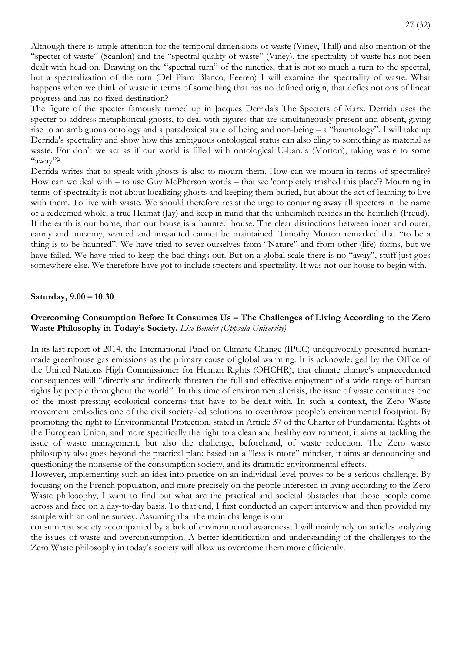Although there is ample attention for the temporal dimensions of waste (Viney, Thill) and also mention of the "specter of waste" (Scanlon) and the "spectral quality of waste" (Viney), the spectrality of waste has not been dealt with head on. Drawing on the "spectral turn" of the nineties, that is not so much a turn to the spectral, but a spectralization of the turn (Del Piaro Blanco, Peeren) I will examine the spectrality of waste. What happens when we think of waste in terms of something that has no defined origin, that defies notions of linear progress and has no fixed destination?

The figure of the specter famously turned up in Jacques Derrida's The Specters of Marx. Derrida uses the specter to address metaphorical ghosts, to deal with figures that are simultaneously present and absent, giving rise to an ambiguous ontology and a paradoxical state of being and non-being – a "hauntology". I will take up Derrida's spectrality and show how this ambiguous ontological status can also cling to something as material as waste. For don't we act as if our world is filled with ontological U-bands (Morton), taking waste to some "away"?

Derrida writes that to speak with ghosts is also to mourn them. How can we mourn in terms of spectrality? How can we deal with – to use Guy McPherson words – that we 'completely trashed this place'? Mourning in terms of spectrality is not about localizing ghosts and keeping them buried, but about the act of learning to live with them. To live with waste. We should therefore resist the urge to conjuring away all specters in the name of a redeemed whole, a true Heimat (Jay) and keep in mind that the unheimlich resides in the heimlich (Freud). If the earth is our home, than our house is a haunted house. The clear distinctions between inner and outer, canny and uncanny, wanted and unwanted cannot be maintained. Timothy Morton remarked that "to be a thing is to be haunted". We have tried to sever ourselves from "Nature" and from other (life) forms, but we have failed. We have tried to keep the bad things out. But on a global scale there is no "away", stuff just goes somewhere else. We therefore have got to include specters and spectrality. It was not our house to begin with.

#### **Saturday, 9.00 – 10.30**

## **Overcoming Consumption Before It Consumes Us – The Challenges of Living According to the Zero Waste Philosophy in Today's Society.** *Lise Benoist (Uppsala University)*

In its last report of 2014, the International Panel on Climate Change (IPCC) unequivocally presented humanmade greenhouse gas emissions as the primary cause of global warming. It is acknowledged by the Office of the United Nations High Commissioner for Human Rights (OHCHR), that climate change's unprecedented consequences will "directly and indirectly threaten the full and effective enjoyment of a wide range of human rights by people throughout the world". In this time of environmental crisis, the issue of waste constitutes one of the most pressing ecological concerns that have to be dealt with. In such a context, the Zero Waste movement embodies one of the civil society-led solutions to overthrow people's environmental footprint. By promoting the right to Environmental Protection, stated in Article 37 of the Charter of Fundamental Rights of the European Union, and more specifically the right to a clean and healthy environment, it aims at tackling the issue of waste management, but also the challenge, beforehand, of waste reduction. The Zero waste philosophy also goes beyond the practical plan: based on a "less is more" mindset, it aims at denouncing and questioning the nonsense of the consumption society, and its dramatic environmental effects.

However, implementing such an idea into practice on an individual level proves to be a serious challenge. By focusing on the French population, and more precisely on the people interested in living according to the Zero Waste philosophy, I want to find out what are the practical and societal obstacles that those people come across and face on a day-to-day basis. To that end, I first conducted an expert interview and then provided my sample with an online survey. Assuming that the main challenge is our

consumerist society accompanied by a lack of environmental awareness, I will mainly rely on articles analyzing the issues of waste and overconsumption. A better identification and understanding of the challenges to the Zero Waste philosophy in today's society will allow us overcome them more efficiently.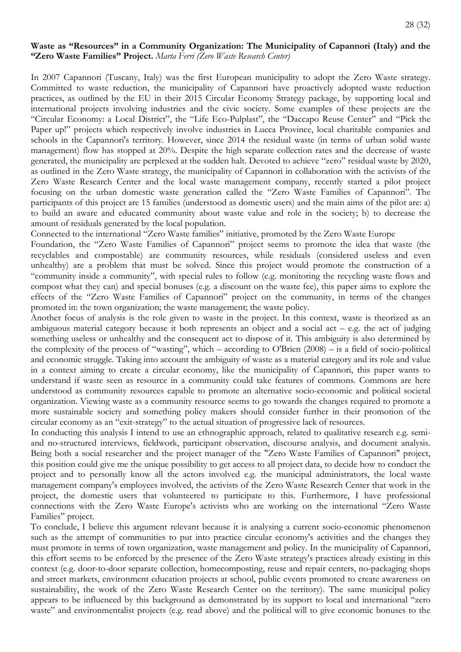#### **Waste as "Resources" in a Community Organization: The Municipality of Capannori (Italy) and the "Zero Waste Families" Project.** *Marta Ferri (Zero Waste Research Center)*

In 2007 Capannori (Tuscany, Italy) was the first European municipality to adopt the Zero Waste strategy. Committed to waste reduction, the municipality of Capannori have proactively adopted waste reduction practices, as outlined by the EU in their 2015 Circular Economy Strategy package, by supporting local and international projects involving industries and the civic society. Some examples of these projects are the "Circular Economy: a Local District", the "Life Eco-Pulplast", the "Daccapo Reuse Center" and "Pick the Paper up!" projects which respectively involve industries in Lucca Province, local charitable companies and schools in the Capannori's territory. However, since 2014 the residual waste (in terms of urban solid waste management) flow has stopped at 20%. Despite the high separate collection rates and the decrease of waste generated, the municipality are perplexed at the sudden halt. Devoted to achieve "zero" residual waste by 2020, as outlined in the Zero Waste strategy, the municipality of Capannori in collaboration with the activists of the Zero Waste Research Center and the local waste management company, recently started a pilot project focusing on the urban domestic waste generation called the "Zero Waste Families of Capannori". The participants of this project are 15 families (understood as domestic users) and the main aims of the pilot are: a) to build an aware and educated community about waste value and role in the society; b) to decrease the amount of residuals generated by the local population.

Connected to the international "Zero Waste families" initiative, promoted by the Zero Waste Europe

Foundation, the "Zero Waste Families of Capannori" project seems to promote the idea that waste (the recyclables and compostable) are community resources, while residuals (considered useless and even unhealthy) are a problem that must be solved. Since this project would promote the construction of a "community inside a community", with special rules to follow (e.g. monitoring the recycling waste flows and compost what they can) and special bonuses (e.g. a discount on the waste fee), this paper aims to explore the effects of the "Zero Waste Families of Capannori" project on the community, in terms of the changes promoted in: the town organization; the waste management; the waste policy.

Another focus of analysis is the role given to waste in the project. In this context, waste is theorized as an ambiguous material category because it both represents an object and a social act – e.g. the act of judging something useless or unhealthy and the consequent act to dispose of it. This ambiguity is also determined by the complexity of the process of "wasting", which – according to O'Brien (2008) – is a field of socio-political and economic struggle. Taking into account the ambiguity of waste as a material category and its role and value in a context aiming to create a circular economy, like the municipality of Capannori, this paper wants to understand if waste seen as resource in a community could take features of commons. Commons are here understood as community resources capable to promote an alternative socio-economic and political societal organization. Viewing waste as a community resource seems to go towards the changes required to promote a more sustainable society and something policy makers should consider further in their promotion of the circular economy as an "exit-strategy" to the actual situation of progressive lack of resources.

In conducting this analysis I intend to use an ethnographic approach, related to qualitative research e.g. semiand no-structured interviews, fieldwork, participant observation, discourse analysis, and document analysis. Being both a social researcher and the project manager of the "Zero Waste Families of Capannori" project, this position could give me the unique possibility to get access to all project data, to decide how to conduct the project and to personally know all the actors involved e.g. the municipal administrators, the local waste management company's employees involved, the activists of the Zero Waste Research Center that work in the project, the domestic users that volunteered to participate to this. Furthermore, I have professional connections with the Zero Waste Europe's activists who are working on the international "Zero Waste Families" project.

To conclude, I believe this argument relevant because it is analysing a current socio-economic phenomenon such as the attempt of communities to put into practice circular economy's activities and the changes they must promote in terms of town organization, waste management and policy. In the municipality of Capannori, this effort seems to be enforced by the presence of the Zero Waste strategy's practices already existing in this context (e.g. door-to-door separate collection, homecomposting, reuse and repair centers, no-packaging shops and street markets, environment education projects at school, public events promoted to create awareness on sustainability, the work of the Zero Waste Research Center on the territory). The same municipal policy appears to be influenced by this background as demonstrated by its support to local and international "zero waste" and environmentalist projects (e.g. read above) and the political will to give economic bonuses to the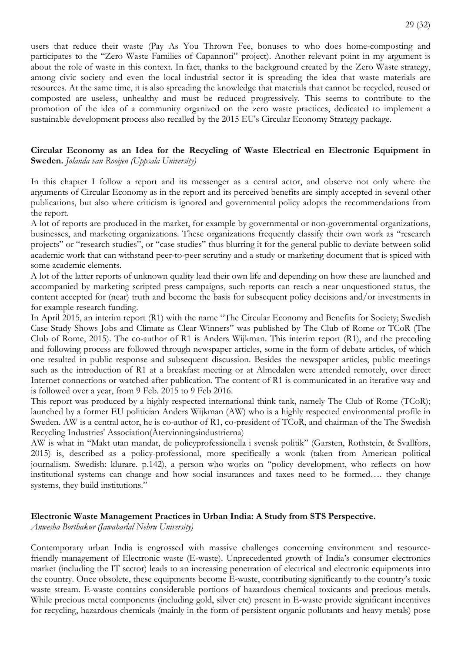users that reduce their waste (Pay As You Thrown Fee, bonuses to who does home-composting and participates to the "Zero Waste Families of Capannori" project). Another relevant point in my argument is about the role of waste in this context. In fact, thanks to the background created by the Zero Waste strategy, among civic society and even the local industrial sector it is spreading the idea that waste materials are resources. At the same time, it is also spreading the knowledge that materials that cannot be recycled, reused or composted are useless, unhealthy and must be reduced progressively. This seems to contribute to the promotion of the idea of a community organized on the zero waste practices, dedicated to implement a sustainable development process also recalled by the 2015 EU's Circular Economy Strategy package.

## **Circular Economy as an Idea for the Recycling of Waste Electrical en Electronic Equipment in Sweden.** *Jolanda van Rooijen (Uppsala University)*

In this chapter I follow a report and its messenger as a central actor, and observe not only where the arguments of Circular Economy as in the report and its perceived benefits are simply accepted in several other publications, but also where criticism is ignored and governmental policy adopts the recommendations from the report.

A lot of reports are produced in the market, for example by governmental or non-governmental organizations, businesses, and marketing organizations. These organizations frequently classify their own work as "research projects" or "research studies", or "case studies" thus blurring it for the general public to deviate between solid academic work that can withstand peer-to-peer scrutiny and a study or marketing document that is spiced with some academic elements.

A lot of the latter reports of unknown quality lead their own life and depending on how these are launched and accompanied by marketing scripted press campaigns, such reports can reach a near unquestioned status, the content accepted for (near) truth and become the basis for subsequent policy decisions and/or investments in for example research funding.

In April 2015, an interim report (R1) with the name "The Circular Economy and Benefits for Society; Swedish Case Study Shows Jobs and Climate as Clear Winners" was published by The Club of Rome or TCoR (The Club of Rome, 2015). The co-author of R1 is Anders Wijkman. This interim report (R1), and the preceding and following process are followed through newspaper articles, some in the form of debate articles, of which one resulted in public response and subsequent discussion. Besides the newspaper articles, public meetings such as the introduction of R1 at a breakfast meeting or at Almedalen were attended remotely, over direct Internet connections or watched after publication. The content of R1 is communicated in an iterative way and is followed over a year, from 9 Feb. 2015 to 9 Feb 2016.

This report was produced by a highly respected international think tank, namely The Club of Rome (TCoR); launched by a former EU politician Anders Wijkman (AW) who is a highly respected environmental profile in Sweden. AW is a central actor, he is co-author of R1, co-president of TCoR, and chairman of the The Swedish Recycling Industries' Association(Återvinningsindustrierna)

AW is what in "Makt utan mandat, de policyprofessionella i svensk politik" (Garsten, Rothstein, & Svallfors, 2015) is, described as a policy-professional, more specifically a wonk (taken from American political journalism. Swedish: klurare. p.142), a person who works on "policy development, who reflects on how institutional systems can change and how social insurances and taxes need to be formed…. they change systems, they build institutions."

## **Electronic Waste Management Practices in Urban India: A Study from STS Perspective.**

*Anwesha Borthakur (Jawaharlal Nehru University)* 

Contemporary urban India is engrossed with massive challenges concerning environment and resourcefriendly management of Electronic waste (E-waste). Unprecedented growth of India's consumer electronics market (including the IT sector) leads to an increasing penetration of electrical and electronic equipments into the country. Once obsolete, these equipments become E-waste, contributing significantly to the country's toxic waste stream. E-waste contains considerable portions of hazardous chemical toxicants and precious metals. While precious metal components (including gold, silver etc) present in E-waste provide significant incentives for recycling, hazardous chemicals (mainly in the form of persistent organic pollutants and heavy metals) pose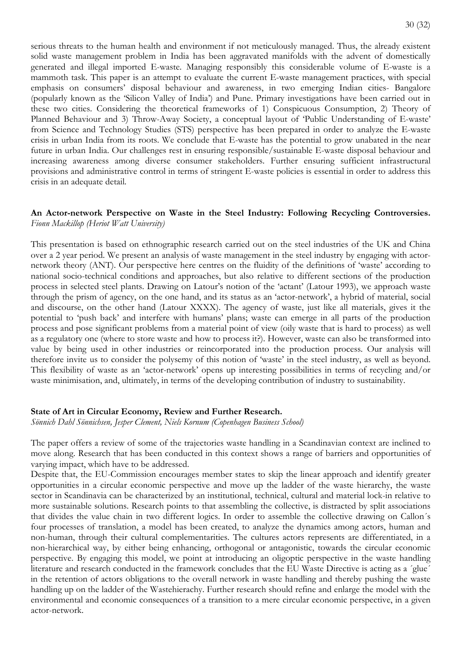serious threats to the human health and environment if not meticulously managed. Thus, the already existent solid waste management problem in India has been aggravated manifolds with the advent of domestically generated and illegal imported E-waste. Managing responsibly this considerable volume of E-waste is a mammoth task. This paper is an attempt to evaluate the current E-waste management practices, with special emphasis on consumers' disposal behaviour and awareness, in two emerging Indian cities- Bangalore (popularly known as the 'Silicon Valley of India') and Pune. Primary investigations have been carried out in these two cities. Considering the theoretical frameworks of 1) Conspicuous Consumption, 2) Theory of Planned Behaviour and 3) Throw-Away Society, a conceptual layout of 'Public Understanding of E-waste' from Science and Technology Studies (STS) perspective has been prepared in order to analyze the E-waste crisis in urban India from its roots. We conclude that E-waste has the potential to grow unabated in the near future in urban India. Our challenges rest in ensuring responsible/sustainable E-waste disposal behaviour and increasing awareness among diverse consumer stakeholders. Further ensuring sufficient infrastructural provisions and administrative control in terms of stringent E-waste policies is essential in order to address this crisis in an adequate detail.

#### **An Actor-network Perspective on Waste in the Steel Industry: Following Recycling Controversies.**  *Fionn Mackillop (Heriot Watt University)*

This presentation is based on ethnographic research carried out on the steel industries of the UK and China over a 2 year period. We present an analysis of waste management in the steel industry by engaging with actornetwork theory (ANT). Our perspective here centres on the fluidity of the definitions of 'waste' according to national socio-technical conditions and approaches, but also relative to different sections of the production process in selected steel plants. Drawing on Latour's notion of the 'actant' (Latour 1993), we approach waste through the prism of agency, on the one hand, and its status as an 'actor-network', a hybrid of material, social and discourse, on the other hand (Latour XXXX). The agency of waste, just like all materials, gives it the potential to 'push back' and interfere with humans' plans; waste can emerge in all parts of the production process and pose significant problems from a material point of view (oily waste that is hard to process) as well as a regulatory one (where to store waste and how to process it?). However, waste can also be transformed into value by being used in other industries or reincorporated into the production process. Our analysis will therefore invite us to consider the polysemy of this notion of 'waste' in the steel industry, as well as beyond. This flexibility of waste as an 'actor-network' opens up interesting possibilities in terms of recycling and/or waste minimisation, and, ultimately, in terms of the developing contribution of industry to sustainability.

#### **State of Art in Circular Economy, Review and Further Research.**

*Sönnich Dahl Sönnichsen, Jesper Clement, Niels Kornum (Copenhagen Business School)*

The paper offers a review of some of the trajectories waste handling in a Scandinavian context are inclined to move along. Research that has been conducted in this context shows a range of barriers and opportunities of varying impact, which have to be addressed.

Despite that, the EU-Commission encourages member states to skip the linear approach and identify greater opportunities in a circular economic perspective and move up the ladder of the waste hierarchy, the waste sector in Scandinavia can be characterized by an institutional, technical, cultural and material lock-in relative to more sustainable solutions. Research points to that assembling the collective, is distracted by split associations that divides the value chain in two different logics. In order to assemble the collective drawing on Callon´s four processes of translation, a model has been created, to analyze the dynamics among actors, human and non-human, through their cultural complementarities. The cultures actors represents are differentiated, in a non-hierarchical way, by either being enhancing, orthogonal or antagonistic, towards the circular economic perspective. By engaging this model, we point at introducing an oligoptic perspective in the waste handling literature and research conducted in the framework concludes that the EU Waste Directive is acting as a ´glue´ in the retention of actors obligations to the overall network in waste handling and thereby pushing the waste handling up on the ladder of the Wastehierachy. Further research should refine and enlarge the model with the environmental and economic consequences of a transition to a mere circular economic perspective, in a given actor-network.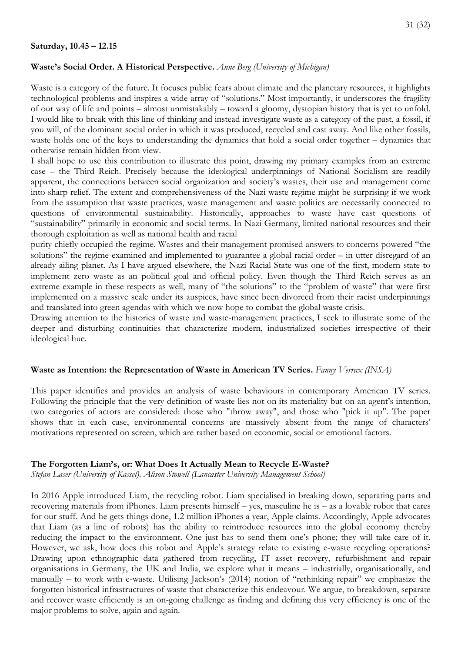#### **Saturday, 10.45 – 12.15**

#### **Waste's Social Order. A Historical Perspective.** *Anne Berg (University of Michigan)*

Waste is a category of the future. It focuses public fears about climate and the planetary resources, it highlights technological problems and inspires a wide array of "solutions." Most importantly, it underscores the fragility of our way of life and points – almost unmistakably – toward a gloomy, dystopian history that is yet to unfold. I would like to break with this line of thinking and instead investigate waste as a category of the past, a fossil, if you will, of the dominant social order in which it was produced, recycled and cast away. And like other fossils, waste holds one of the keys to understanding the dynamics that hold a social order together – dynamics that otherwise remain hidden from view.

I shall hope to use this contribution to illustrate this point, drawing my primary examples from an extreme case – the Third Reich. Precisely because the ideological underpinnings of National Socialism are readily apparent, the connections between social organization and society's wastes, their use and management come into sharp relief. The extent and comprehensiveness of the Nazi waste regime might be surprising if we work from the assumption that waste practices, waste management and waste politics are necessarily connected to questions of environmental sustainability. Historically, approaches to waste have cast questions of "sustainability" primarily in economic and social terms. In Nazi Germany, limited national resources and their thorough exploitation as well as national health and racial

purity chiefly occupied the regime. Wastes and their management promised answers to concerns powered "the solutions" the regime examined and implemented to guarantee a global racial order – in utter disregard of an already ailing planet. As I have argued elsewhere, the Nazi Racial State was one of the first, modern state to implement zero waste as an political goal and official policy. Even though the Third Reich serves as an extreme example in these respects as well, many of "the solutions" to the "problem of waste" that were first implemented on a massive scale under its auspices, have since been divorced from their racist underpinnings and translated into green agendas with which we now hope to combat the global waste crisis.

Drawing attention to the histories of waste and waste-management practices, I seek to illustrate some of the deeper and disturbing continuities that characterize modern, industrialized societies irrespective of their ideological hue.

## **Waste as Intention: the Representation of Waste in American TV Series.** *Fanny Verrax (INSA)*

This paper identifies and provides an analysis of waste behaviours in contemporary American TV series. Following the principle that the very definition of waste lies not on its materiality but on an agent's intention, two categories of actors are considered: those who "throw away", and those who "pick it up". The paper shows that in each case, environmental concerns are massively absent from the range of characters' motivations represented on screen, which are rather based on economic, social or emotional factors.

#### **The Forgotten Liam's, or: What Does It Actually Mean to Recycle E-Waste?**

*Stefan Laser (University of Kassel), Alison Stowell (Lancaster University Management School)*

In 2016 Apple introduced Liam, the recycling robot. Liam specialised in breaking down, separating parts and recovering materials from iPhones. Liam presents himself – yes, masculine he is – as a lovable robot that cares for our stuff. And he gets things done, 1.2 million iPhones a year, Apple claims. Accordingly, Apple advocates that Liam (as a line of robots) has the ability to reintroduce resources into the global economy thereby reducing the impact to the environment. One just has to send them one's phone; they will take care of it. However, we ask, how does this robot and Apple's strategy relate to existing e-waste recycling operations? Drawing upon ethnographic data gathered from recycling, IT asset recovery, refurbishment and repair organisations in Germany, the UK and India, we explore what it means – industrially, organisationally, and manually – to work with e-waste. Utilising Jackson's (2014) notion of "rethinking repair" we emphasize the forgotten historical infrastructures of waste that characterize this endeavour. We argue, to breakdown, separate and recover waste efficiently is an on-going challenge as finding and defining this very efficiency is one of the major problems to solve, again and again.